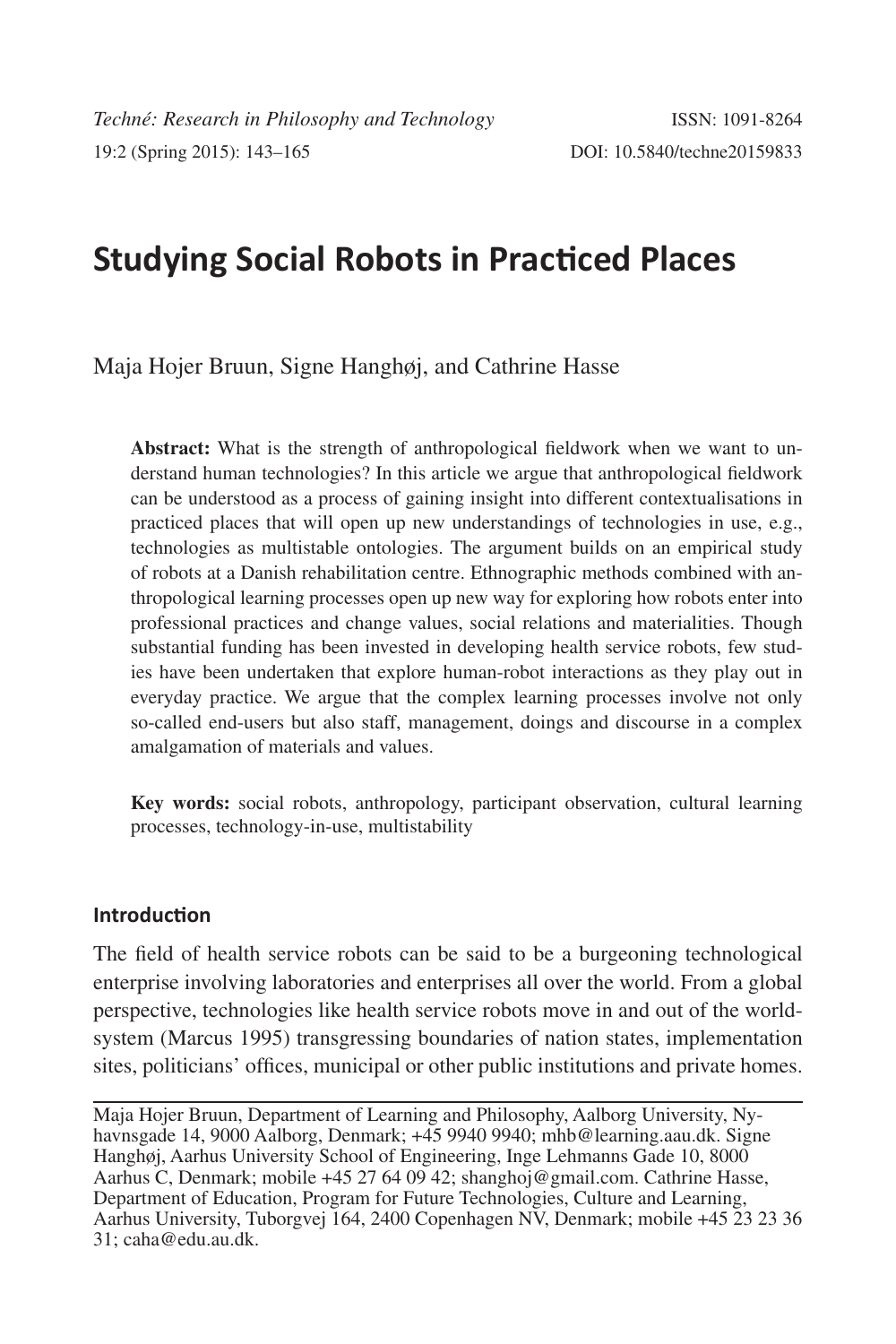# **Studying Social Robots in Practiced Places**

Maja Hojer Bruun, Signe Hanghøj, and Cathrine Hasse

**Abstract:** What is the strength of anthropological fieldwork when we want to understand human technologies? In this article we argue that anthropological fieldwork can be understood as a process of gaining insight into different contextualisations in practiced places that will open up new understandings of technologies in use, e.g., technologies as multistable ontologies. The argument builds on an empirical study of robots at a Danish rehabilitation centre. Ethnographic methods combined with anthropological learning processes open up new way for exploring how robots enter into professional practices and change values, social relations and materialities. Though substantial funding has been invested in developing health service robots, few studies have been undertaken that explore human-robot interactions as they play out in everyday practice. We argue that the complex learning processes involve not only so-called end-users but also staff, management, doings and discourse in a complex amalgamation of materials and values.

**Key words:** social robots, anthropology, participant observation, cultural learning processes, technology-in-use, multistability

## **Introduction**

The field of health service robots can be said to be a burgeoning technological enterprise involving laboratories and enterprises all over the world. From a global perspective, technologies like health service robots move in and out of the worldsystem (Marcus 1995) transgressing boundaries of nation states, implementation sites, politicians' offices, municipal or other public institutions and private homes.

Maja Hojer Bruun, Department of Learning and Philosophy, Aalborg University, Nyhavnsgade 14, 9000 Aalborg, Denmark; +45 9940 9940; mhb@learning.aau.dk. Signe Hanghøj, Aarhus University School of Engineering, Inge Lehmanns Gade 10, 8000 Aarhus C, Denmark; mobile +45 27 64 09 42; shanghoj@gmail.com. Cathrine Hasse, Department of Education, Program for Future Technologies, Culture and Learning, Aarhus University, Tuborgvej 164, 2400 Copenhagen NV, Denmark; mobile +45 23 23 36 31; caha@edu.au.dk.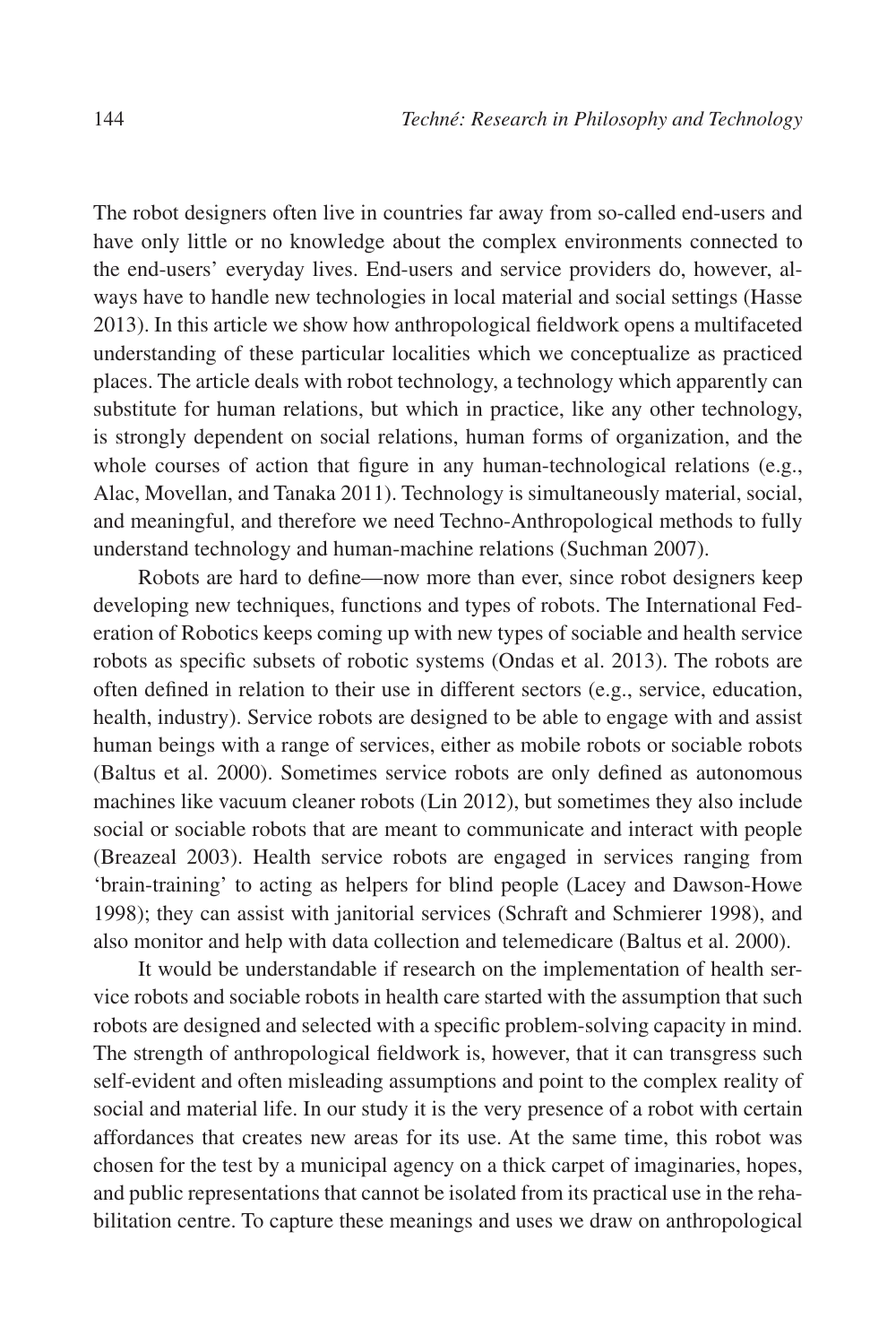The robot designers often live in countries far away from so-called end-users and have only little or no knowledge about the complex environments connected to the end-users' everyday lives. End-users and service providers do, however, always have to handle new technologies in local material and social settings (Hasse 2013). In this article we show how anthropological fieldwork opens a multifaceted understanding of these particular localities which we conceptualize as practiced places. The article deals with robot technology, a technology which apparently can substitute for human relations, but which in practice, like any other technology, is strongly dependent on social relations, human forms of organization, and the whole courses of action that figure in any human-technological relations (e.g., Alac, Movellan, and Tanaka 2011). Technology is simultaneously material, social, and meaningful, and therefore we need Techno-Anthropological methods to fully understand technology and human-machine relations (Suchman 2007).

Robots are hard to define—now more than ever, since robot designers keep developing new techniques, functions and types of robots. The International Federation of Robotics keeps coming up with new types of sociable and health service robots as specific subsets of robotic systems (Ondas et al. 2013). The robots are often defined in relation to their use in different sectors (e.g., service, education, health, industry). Service robots are designed to be able to engage with and assist human beings with a range of services, either as mobile robots or sociable robots (Baltus et al. 2000). Sometimes service robots are only defined as autonomous machines like vacuum cleaner robots (Lin 2012), but sometimes they also include social or sociable robots that are meant to communicate and interact with people (Breazeal 2003). Health service robots are engaged in services ranging from 'brain-training' to acting as helpers for blind people (Lacey and Dawson-Howe 1998); they can assist with janitorial services (Schraft and Schmierer 1998), and also monitor and help with data collection and telemedicare (Baltus et al. 2000).

It would be understandable if research on the implementation of health service robots and sociable robots in health care started with the assumption that such robots are designed and selected with a specific problem-solving capacity in mind. The strength of anthropological fieldwork is, however, that it can transgress such self-evident and often misleading assumptions and point to the complex reality of social and material life. In our study it is the very presence of a robot with certain affordances that creates new areas for its use. At the same time, this robot was chosen for the test by a municipal agency on a thick carpet of imaginaries, hopes, and public representations that cannot be isolated from its practical use in the rehabilitation centre. To capture these meanings and uses we draw on anthropological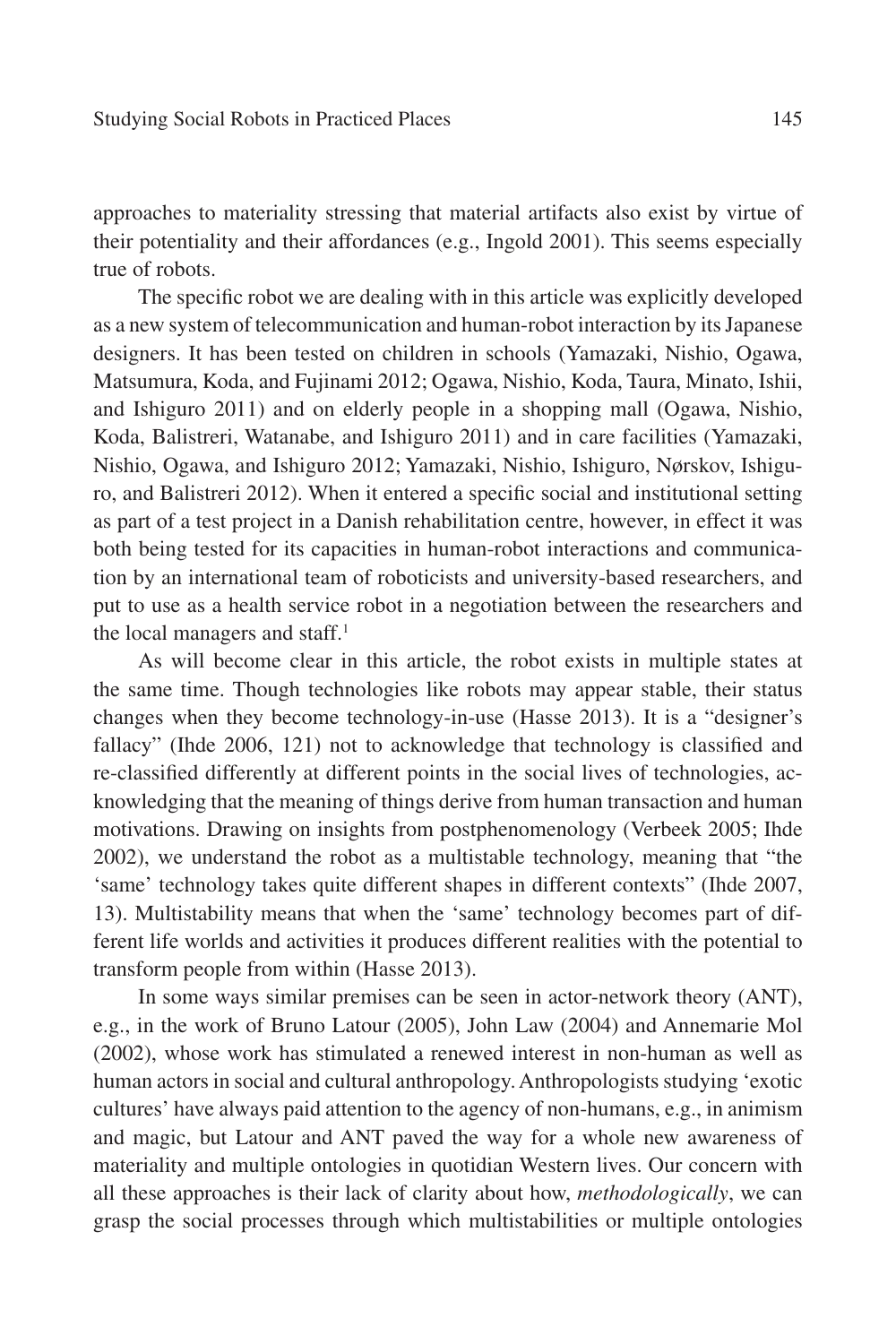approaches to materiality stressing that material artifacts also exist by virtue of their potentiality and their affordances (e.g., Ingold 2001). This seems especially true of robots.

The specific robot we are dealing with in this article was explicitly developed as a new system of telecommunication and human-robot interaction by its Japanese designers. It has been tested on children in schools (Yamazaki, Nishio, Ogawa, Matsumura, Koda, and Fujinami 2012; Ogawa, Nishio, Koda, Taura, Minato, Ishii, and Ishiguro 2011) and on elderly people in a shopping mall (Ogawa, Nishio, Koda, Balistreri, Watanabe, and Ishiguro 2011) and in care facilities (Yamazaki, Nishio, Ogawa, and Ishiguro 2012; Yamazaki, Nishio, Ishiguro, Nørskov, Ishiguro, and Balistreri 2012). When it entered a specific social and institutional setting as part of a test project in a Danish rehabilitation centre, however, in effect it was both being tested for its capacities in human-robot interactions and communication by an international team of roboticists and university-based researchers, and put to use as a health service robot in a negotiation between the researchers and the local managers and staff.<sup>1</sup>

As will become clear in this article, the robot exists in multiple states at the same time. Though technologies like robots may appear stable, their status changes when they become technology-in-use (Hasse 2013). It is a "designer's fallacy" (Ihde 2006, 121) not to acknowledge that technology is classified and re-classified differently at different points in the social lives of technologies, acknowledging that the meaning of things derive from human transaction and human motivations. Drawing on insights from postphenomenology (Verbeek 2005; Ihde 2002), we understand the robot as a multistable technology, meaning that "the 'same' technology takes quite different shapes in different contexts" (Ihde 2007, 13). Multistability means that when the 'same' technology becomes part of different life worlds and activities it produces different realities with the potential to transform people from within (Hasse 2013).

In some ways similar premises can be seen in actor-network theory (ANT), e.g., in the work of Bruno Latour (2005), John Law (2004) and Annemarie Mol (2002), whose work has stimulated a renewed interest in non-human as well as human actors in social and cultural anthropology. Anthropologists studying 'exotic cultures' have always paid attention to the agency of non-humans, e.g., in animism and magic, but Latour and ANT paved the way for a whole new awareness of materiality and multiple ontologies in quotidian Western lives. Our concern with all these approaches is their lack of clarity about how, *methodologically*, we can grasp the social processes through which multistabilities or multiple ontologies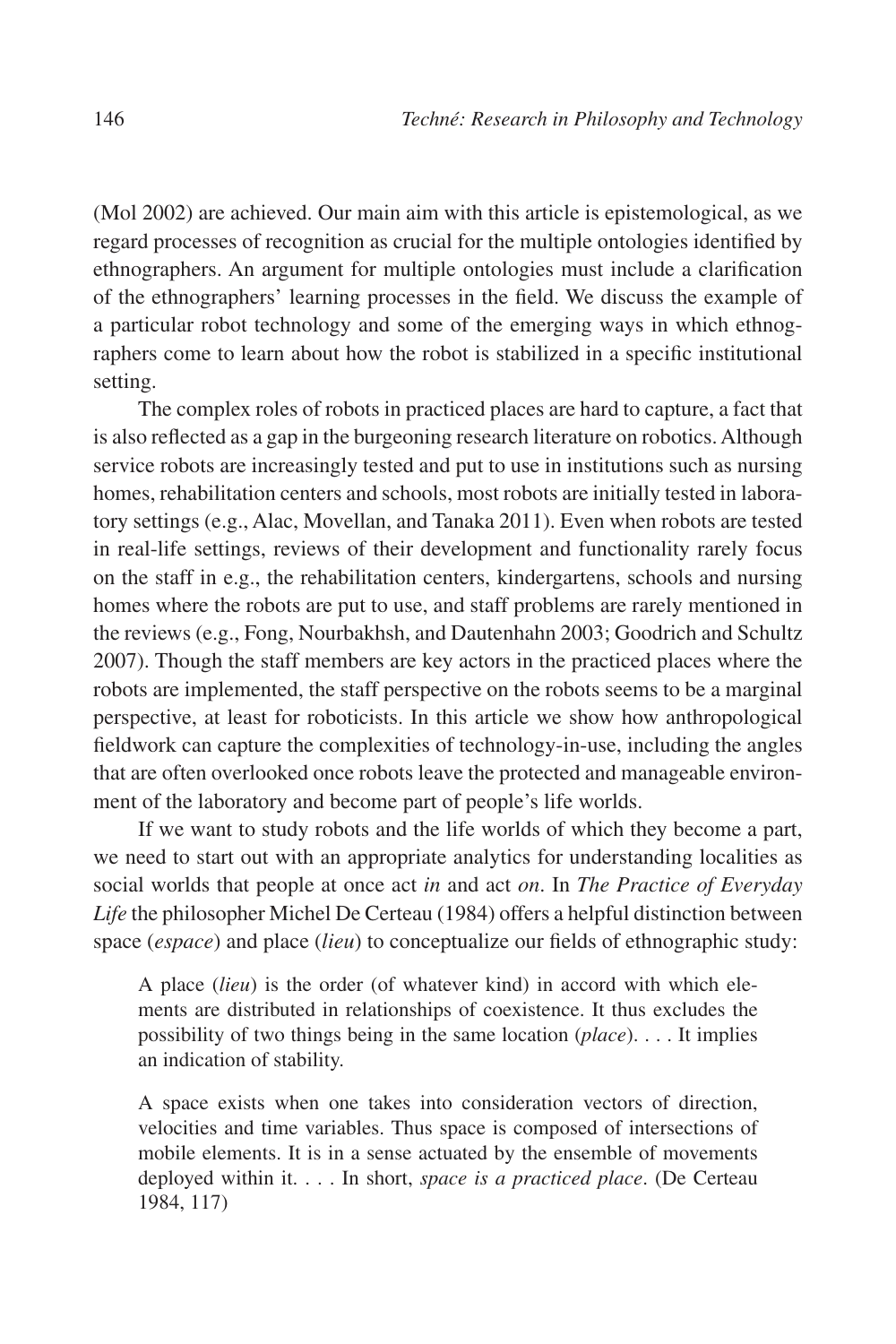(Mol 2002) are achieved. Our main aim with this article is epistemological, as we regard processes of recognition as crucial for the multiple ontologies identified by ethnographers. An argument for multiple ontologies must include a clarification of the ethnographers' learning processes in the field. We discuss the example of a particular robot technology and some of the emerging ways in which ethnographers come to learn about how the robot is stabilized in a specific institutional setting.

The complex roles of robots in practiced places are hard to capture, a fact that is also reflected as a gap in the burgeoning research literature on robotics. Although service robots are increasingly tested and put to use in institutions such as nursing homes, rehabilitation centers and schools, most robots are initially tested in laboratory settings (e.g., Alac, Movellan, and Tanaka 2011). Even when robots are tested in real-life settings, reviews of their development and functionality rarely focus on the staff in e.g., the rehabilitation centers, kindergartens, schools and nursing homes where the robots are put to use, and staff problems are rarely mentioned in the reviews (e.g., Fong, Nourbakhsh, and Dautenhahn 2003; Goodrich and Schultz 2007). Though the staff members are key actors in the practiced places where the robots are implemented, the staff perspective on the robots seems to be a marginal perspective, at least for roboticists. In this article we show how anthropological fieldwork can capture the complexities of technology-in-use, including the angles that are often overlooked once robots leave the protected and manageable environment of the laboratory and become part of people's life worlds.

If we want to study robots and the life worlds of which they become a part, we need to start out with an appropriate analytics for understanding localities as social worlds that people at once act *in* and act *on*. In *The Practice of Everyday Life* the philosopher Michel De Certeau (1984) offers a helpful distinction between space (*espace*) and place (*lieu*) to conceptualize our fields of ethnographic study:

A place (*lieu*) is the order (of whatever kind) in accord with which elements are distributed in relationships of coexistence. It thus excludes the possibility of two things being in the same location (*place*). . . . It implies an indication of stability.

A space exists when one takes into consideration vectors of direction, velocities and time variables. Thus space is composed of intersections of mobile elements. It is in a sense actuated by the ensemble of movements deployed within it. . . . In short, *space is a practiced place*. (De Certeau 1984, 117)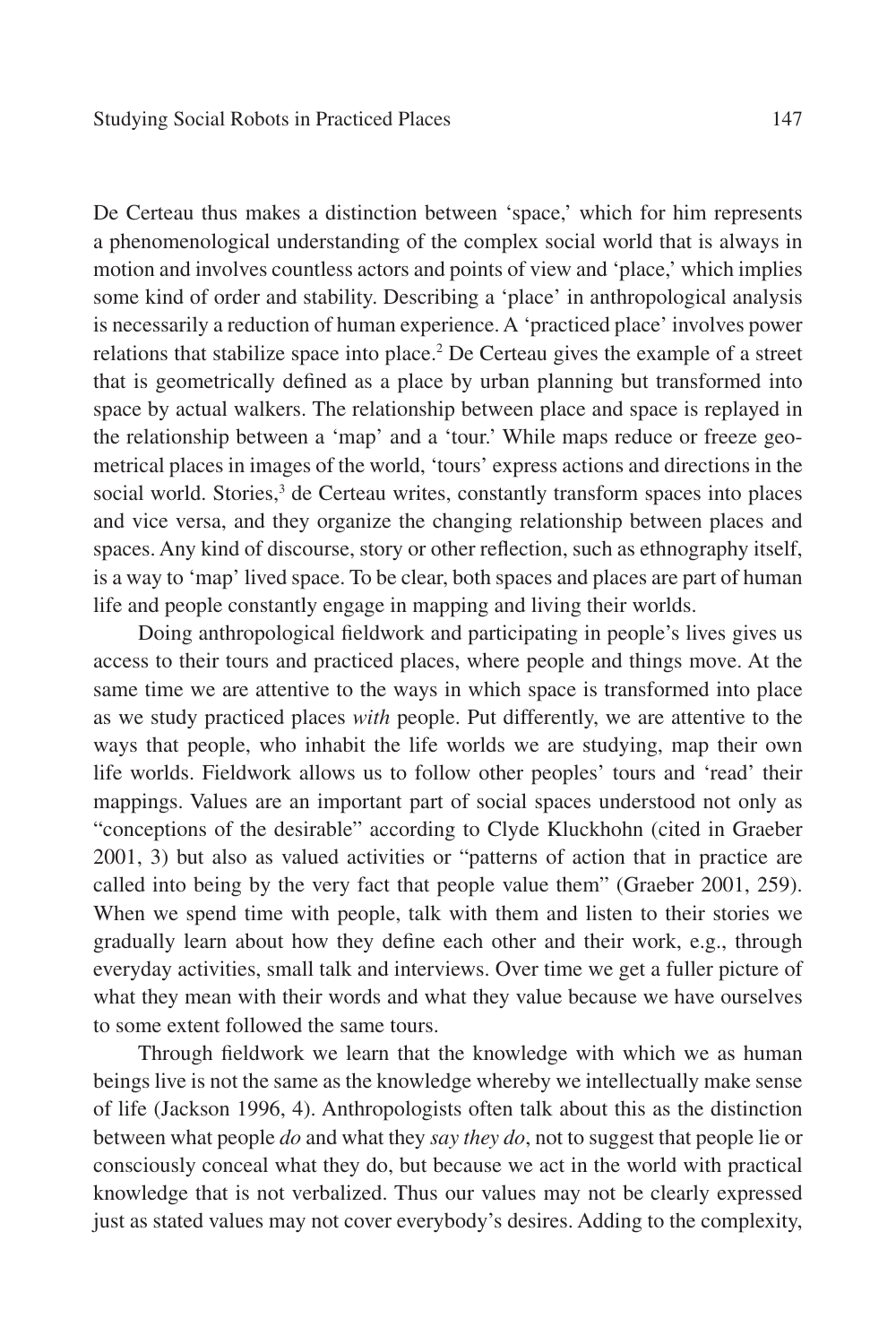De Certeau thus makes a distinction between 'space,' which for him represents a phenomenological understanding of the complex social world that is always in motion and involves countless actors and points of view and 'place,' which implies some kind of order and stability. Describing a 'place' in anthropological analysis is necessarily a reduction of human experience. A 'practiced place' involves power relations that stabilize space into place.<sup>2</sup> De Certeau gives the example of a street that is geometrically defined as a place by urban planning but transformed into space by actual walkers. The relationship between place and space is replayed in the relationship between a 'map' and a 'tour.' While maps reduce or freeze geometrical places in images of the world, 'tours' express actions and directions in the social world. Stories,<sup>3</sup> de Certeau writes, constantly transform spaces into places and vice versa, and they organize the changing relationship between places and spaces. Any kind of discourse, story or other reflection, such as ethnography itself, is a way to 'map' lived space. To be clear, both spaces and places are part of human life and people constantly engage in mapping and living their worlds.

Doing anthropological fieldwork and participating in people's lives gives us access to their tours and practiced places, where people and things move. At the same time we are attentive to the ways in which space is transformed into place as we study practiced places *with* people. Put differently, we are attentive to the ways that people, who inhabit the life worlds we are studying, map their own life worlds. Fieldwork allows us to follow other peoples' tours and 'read' their mappings. Values are an important part of social spaces understood not only as "conceptions of the desirable" according to Clyde Kluckhohn (cited in Graeber 2001, 3) but also as valued activities or "patterns of action that in practice are called into being by the very fact that people value them" (Graeber 2001, 259). When we spend time with people, talk with them and listen to their stories we gradually learn about how they define each other and their work, e.g., through everyday activities, small talk and interviews. Over time we get a fuller picture of what they mean with their words and what they value because we have ourselves to some extent followed the same tours.

Through fieldwork we learn that the knowledge with which we as human beings live is not the same as the knowledge whereby we intellectually make sense of life (Jackson 1996, 4). Anthropologists often talk about this as the distinction between what people *do* and what they *say they do*, not to suggest that people lie or consciously conceal what they do, but because we act in the world with practical knowledge that is not verbalized. Thus our values may not be clearly expressed just as stated values may not cover everybody's desires. Adding to the complexity,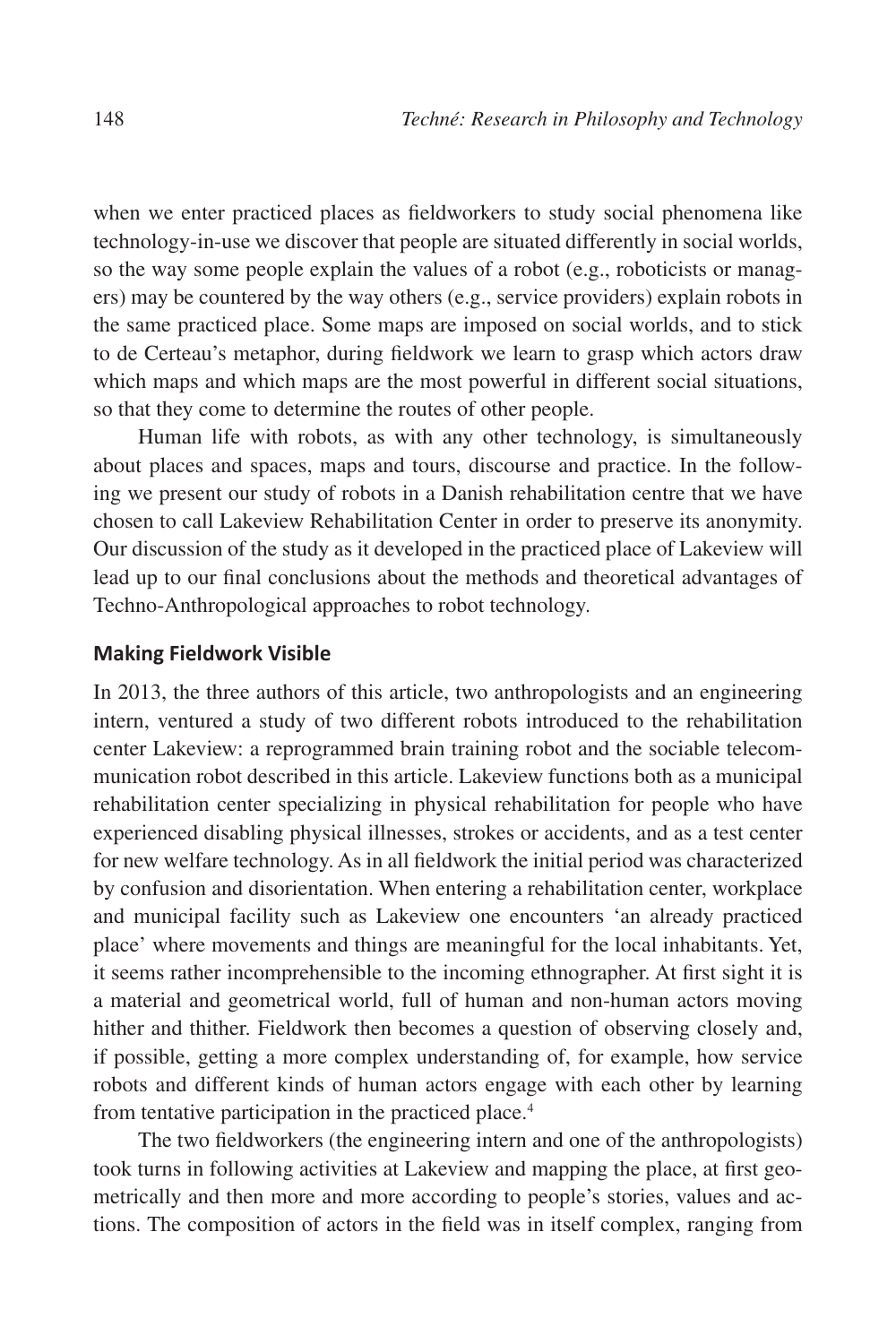when we enter practiced places as fieldworkers to study social phenomena like technology-in-use we discover that people are situated differently in social worlds, so the way some people explain the values of a robot (e.g., roboticists or managers) may be countered by the way others (e.g., service providers) explain robots in the same practiced place. Some maps are imposed on social worlds, and to stick to de Certeau's metaphor, during fieldwork we learn to grasp which actors draw which maps and which maps are the most powerful in different social situations, so that they come to determine the routes of other people.

Human life with robots, as with any other technology, is simultaneously about places and spaces, maps and tours, discourse and practice. In the following we present our study of robots in a Danish rehabilitation centre that we have chosen to call Lakeview Rehabilitation Center in order to preserve its anonymity. Our discussion of the study as it developed in the practiced place of Lakeview will lead up to our final conclusions about the methods and theoretical advantages of Techno-Anthropological approaches to robot technology.

## **Making Fieldwork Visible**

In 2013, the three authors of this article, two anthropologists and an engineering intern, ventured a study of two different robots introduced to the rehabilitation center Lakeview: a reprogrammed brain training robot and the sociable telecommunication robot described in this article. Lakeview functions both as a municipal rehabilitation center specializing in physical rehabilitation for people who have experienced disabling physical illnesses, strokes or accidents, and as a test center for new welfare technology. As in all fieldwork the initial period was characterized by confusion and disorientation. When entering a rehabilitation center, workplace and municipal facility such as Lakeview one encounters 'an already practiced place' where movements and things are meaningful for the local inhabitants. Yet, it seems rather incomprehensible to the incoming ethnographer. At first sight it is a material and geometrical world, full of human and non-human actors moving hither and thither. Fieldwork then becomes a question of observing closely and, if possible, getting a more complex understanding of, for example, how service robots and different kinds of human actors engage with each other by learning from tentative participation in the practiced place.<sup>4</sup>

The two fieldworkers (the engineering intern and one of the anthropologists) took turns in following activities at Lakeview and mapping the place, at first geometrically and then more and more according to people's stories, values and actions. The composition of actors in the field was in itself complex, ranging from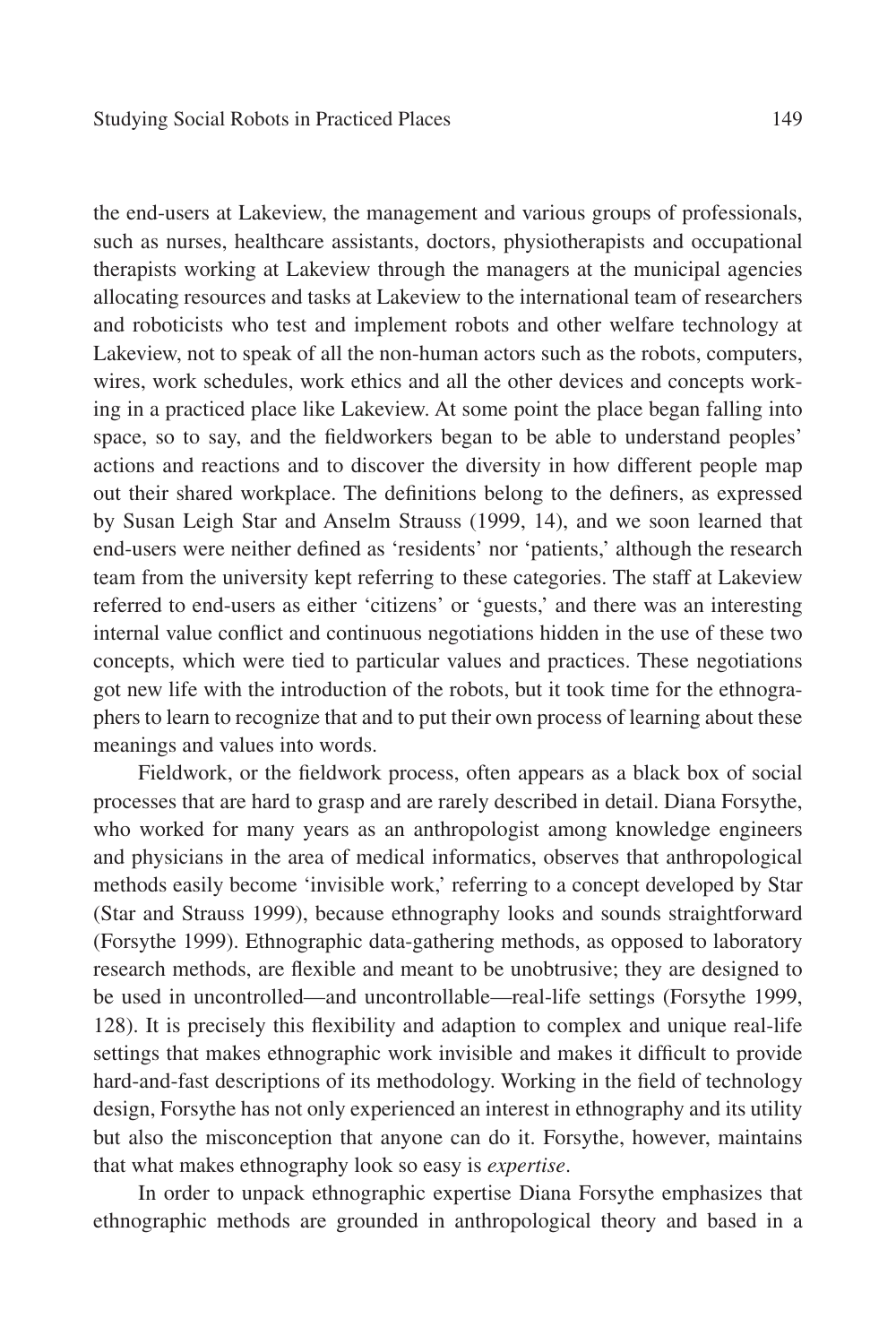the end-users at Lakeview, the management and various groups of professionals, such as nurses, healthcare assistants, doctors, physiotherapists and occupational therapists working at Lakeview through the managers at the municipal agencies allocating resources and tasks at Lakeview to the international team of researchers and roboticists who test and implement robots and other welfare technology at Lakeview, not to speak of all the non-human actors such as the robots, computers, wires, work schedules, work ethics and all the other devices and concepts working in a practiced place like Lakeview. At some point the place began falling into space, so to say, and the fieldworkers began to be able to understand peoples' actions and reactions and to discover the diversity in how different people map out their shared workplace. The definitions belong to the definers, as expressed by Susan Leigh Star and Anselm Strauss (1999, 14), and we soon learned that end-users were neither defined as 'residents' nor 'patients,' although the research team from the university kept referring to these categories. The staff at Lakeview referred to end-users as either 'citizens' or 'guests,' and there was an interesting internal value conflict and continuous negotiations hidden in the use of these two concepts, which were tied to particular values and practices. These negotiations got new life with the introduction of the robots, but it took time for the ethnographers to learn to recognize that and to put their own process of learning about these meanings and values into words.

Fieldwork, or the fieldwork process, often appears as a black box of social processes that are hard to grasp and are rarely described in detail. Diana Forsythe, who worked for many years as an anthropologist among knowledge engineers and physicians in the area of medical informatics, observes that anthropological methods easily become 'invisible work,' referring to a concept developed by Star (Star and Strauss 1999), because ethnography looks and sounds straightforward (Forsythe 1999). Ethnographic data-gathering methods, as opposed to laboratory research methods, are flexible and meant to be unobtrusive; they are designed to be used in uncontrolled—and uncontrollable—real-life settings (Forsythe 1999, 128). It is precisely this flexibility and adaption to complex and unique real-life settings that makes ethnographic work invisible and makes it difficult to provide hard-and-fast descriptions of its methodology. Working in the field of technology design, Forsythe has not only experienced an interest in ethnography and its utility but also the misconception that anyone can do it. Forsythe, however, maintains that what makes ethnography look so easy is *expertise*.

In order to unpack ethnographic expertise Diana Forsythe emphasizes that ethnographic methods are grounded in anthropological theory and based in a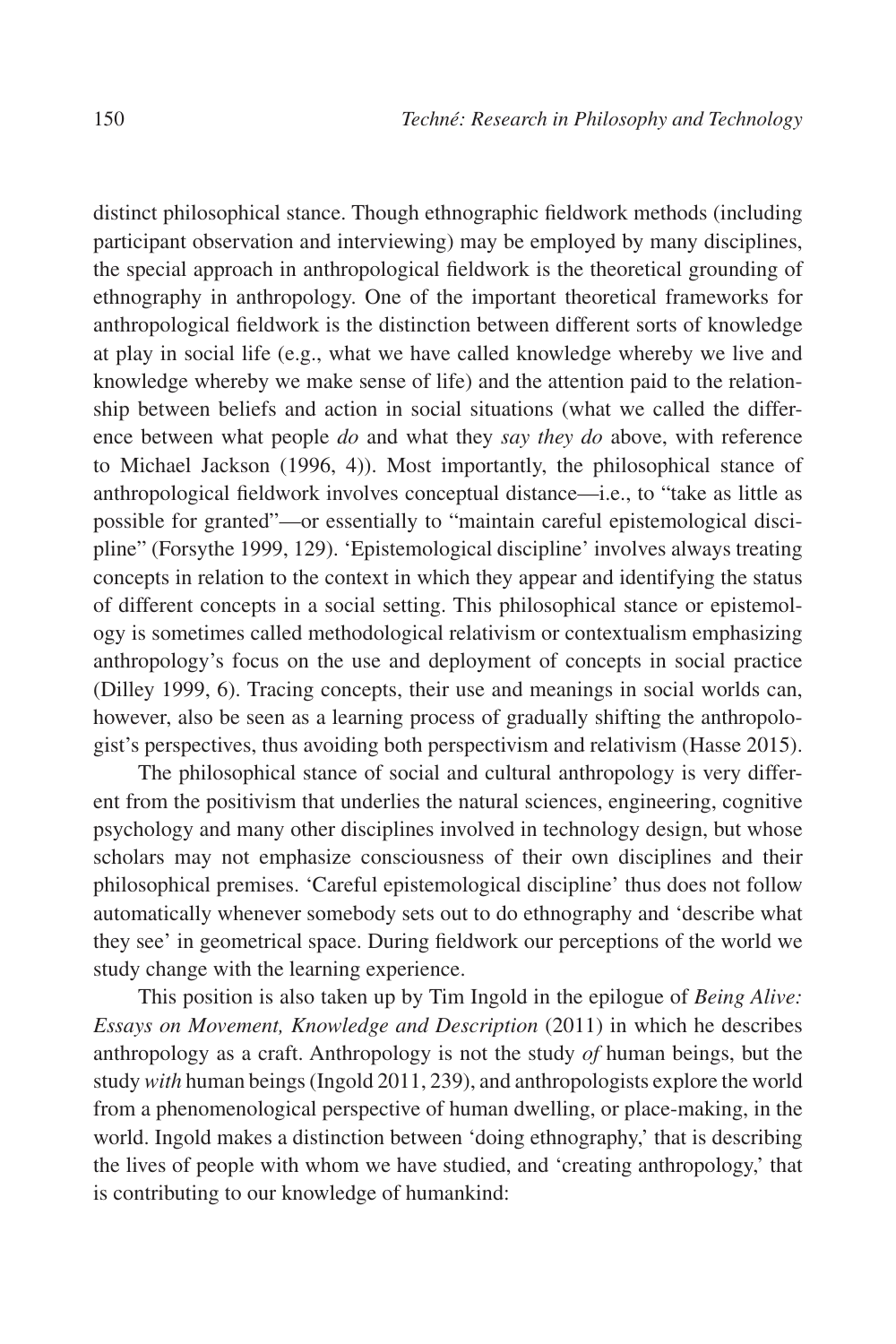distinct philosophical stance. Though ethnographic fieldwork methods (including participant observation and interviewing) may be employed by many disciplines, the special approach in anthropological fieldwork is the theoretical grounding of ethnography in anthropology. One of the important theoretical frameworks for anthropological fieldwork is the distinction between different sorts of knowledge at play in social life (e.g., what we have called knowledge whereby we live and knowledge whereby we make sense of life) and the attention paid to the relationship between beliefs and action in social situations (what we called the difference between what people *do* and what they *say they do* above, with reference to Michael Jackson (1996, 4)). Most importantly, the philosophical stance of anthropological fieldwork involves conceptual distance—i.e., to "take as little as possible for granted"—or essentially to "maintain careful epistemological discipline" (Forsythe 1999, 129). 'Epistemological discipline' involves always treating concepts in relation to the context in which they appear and identifying the status of different concepts in a social setting. This philosophical stance or epistemology is sometimes called methodological relativism or contextualism emphasizing anthropology's focus on the use and deployment of concepts in social practice (Dilley 1999, 6). Tracing concepts, their use and meanings in social worlds can, however, also be seen as a learning process of gradually shifting the anthropologist's perspectives, thus avoiding both perspectivism and relativism (Hasse 2015).

The philosophical stance of social and cultural anthropology is very different from the positivism that underlies the natural sciences, engineering, cognitive psychology and many other disciplines involved in technology design, but whose scholars may not emphasize consciousness of their own disciplines and their philosophical premises. 'Careful epistemological discipline' thus does not follow automatically whenever somebody sets out to do ethnography and 'describe what they see' in geometrical space. During fieldwork our perceptions of the world we study change with the learning experience.

This position is also taken up by Tim Ingold in the epilogue of *Being Alive: Essays on Movement, Knowledge and Description* (2011) in which he describes anthropology as a craft. Anthropology is not the study *of* human beings, but the study *with* human beings (Ingold 2011, 239), and anthropologists explore the world from a phenomenological perspective of human dwelling, or place-making, in the world. Ingold makes a distinction between 'doing ethnography,' that is describing the lives of people with whom we have studied, and 'creating anthropology,' that is contributing to our knowledge of humankind: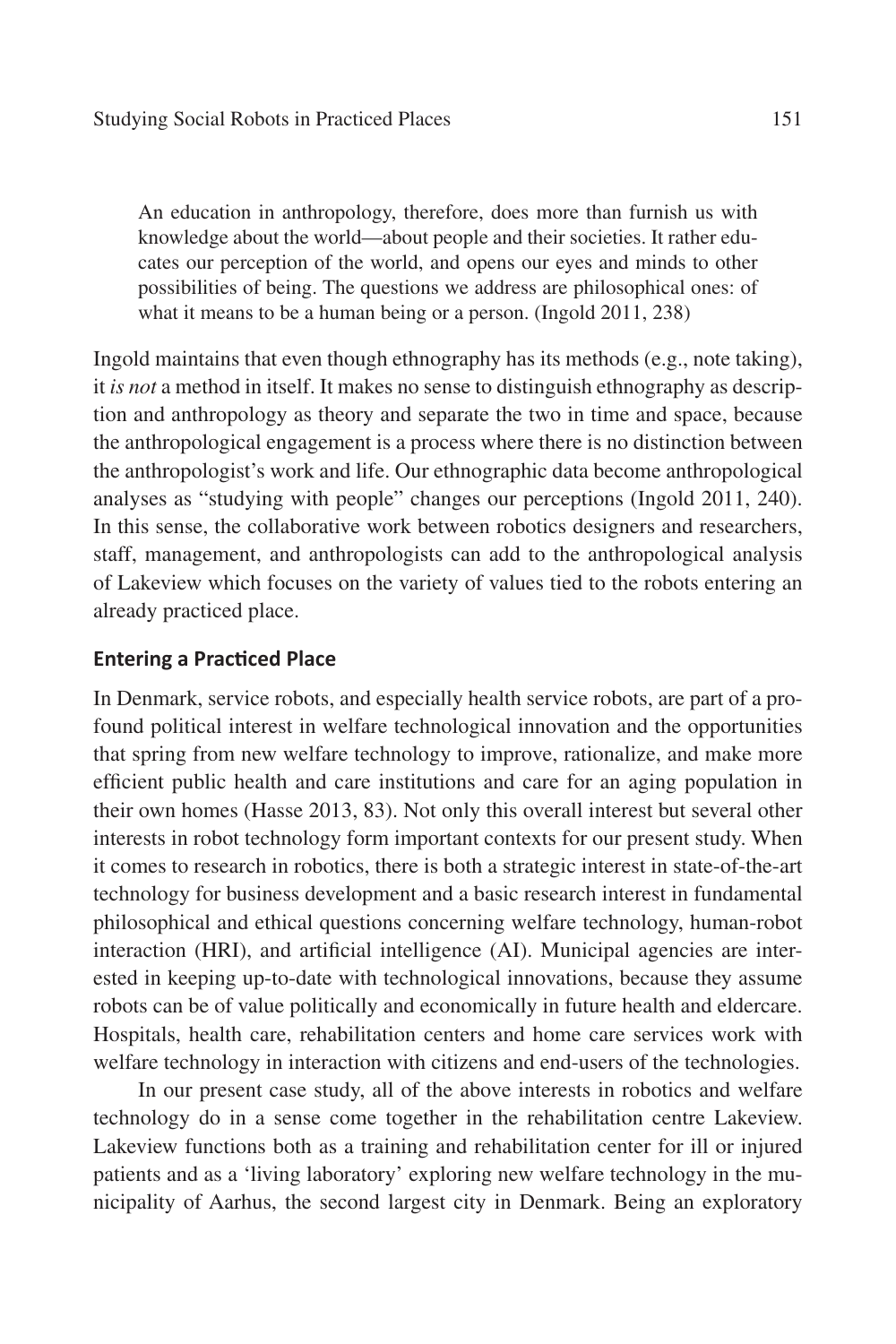An education in anthropology, therefore, does more than furnish us with knowledge about the world—about people and their societies. It rather educates our perception of the world, and opens our eyes and minds to other possibilities of being. The questions we address are philosophical ones: of what it means to be a human being or a person. (Ingold 2011, 238)

Ingold maintains that even though ethnography has its methods (e.g., note taking), it *is not* a method in itself. It makes no sense to distinguish ethnography as description and anthropology as theory and separate the two in time and space, because the anthropological engagement is a process where there is no distinction between the anthropologist's work and life. Our ethnographic data become anthropological analyses as "studying with people" changes our perceptions (Ingold 2011, 240). In this sense, the collaborative work between robotics designers and researchers, staff, management, and anthropologists can add to the anthropological analysis of Lakeview which focuses on the variety of values tied to the robots entering an already practiced place.

## **Entering a Practiced Place**

In Denmark, service robots, and especially health service robots, are part of a profound political interest in welfare technological innovation and the opportunities that spring from new welfare technology to improve, rationalize, and make more efficient public health and care institutions and care for an aging population in their own homes (Hasse 2013, 83). Not only this overall interest but several other interests in robot technology form important contexts for our present study. When it comes to research in robotics, there is both a strategic interest in state-of-the-art technology for business development and a basic research interest in fundamental philosophical and ethical questions concerning welfare technology, human-robot interaction (HRI), and artificial intelligence (AI). Municipal agencies are interested in keeping up-to-date with technological innovations, because they assume robots can be of value politically and economically in future health and eldercare. Hospitals, health care, rehabilitation centers and home care services work with welfare technology in interaction with citizens and end-users of the technologies.

In our present case study, all of the above interests in robotics and welfare technology do in a sense come together in the rehabilitation centre Lakeview. Lakeview functions both as a training and rehabilitation center for ill or injured patients and as a 'living laboratory' exploring new welfare technology in the municipality of Aarhus, the second largest city in Denmark. Being an exploratory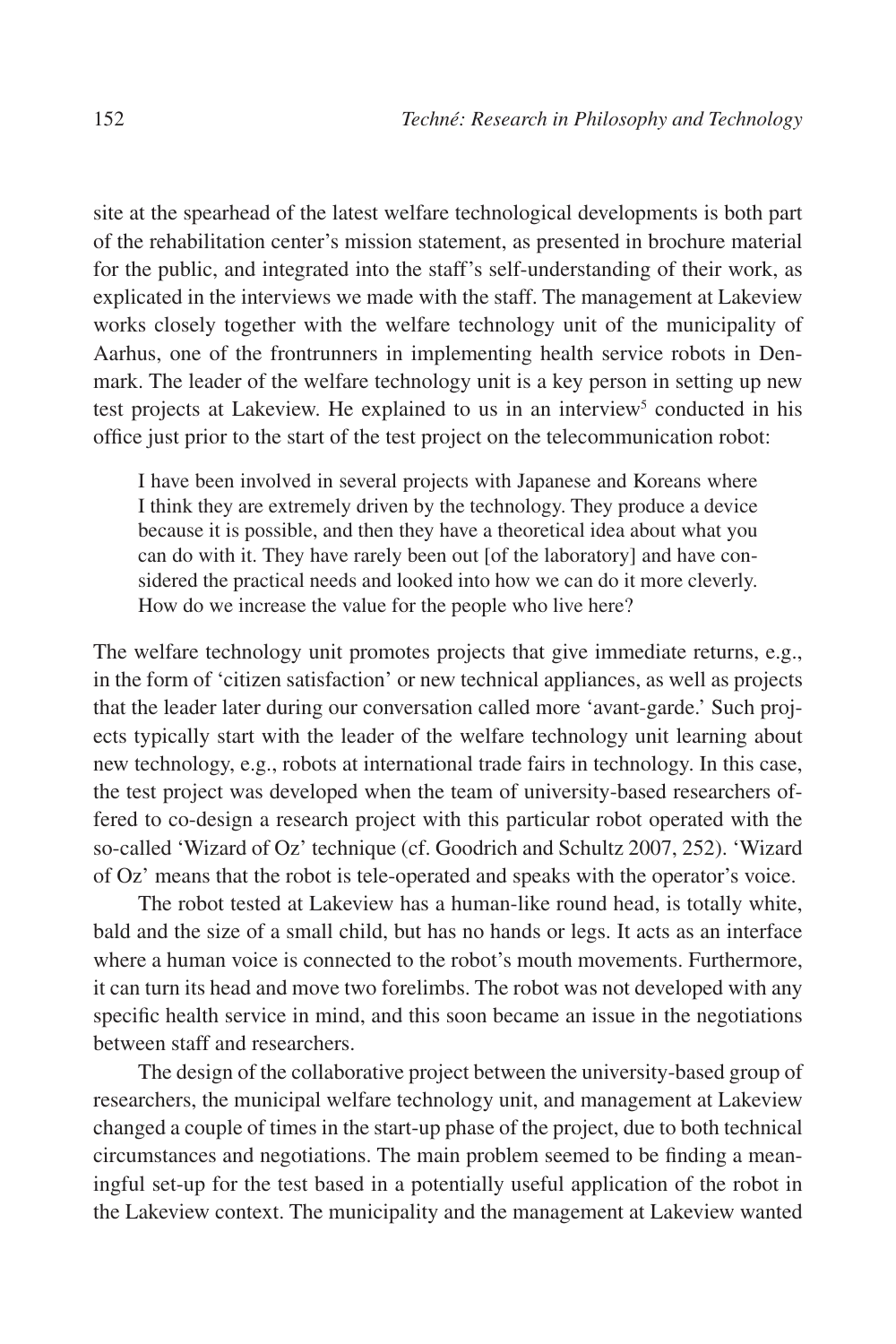site at the spearhead of the latest welfare technological developments is both part of the rehabilitation center's mission statement, as presented in brochure material for the public, and integrated into the staff's self-understanding of their work, as explicated in the interviews we made with the staff. The management at Lakeview works closely together with the welfare technology unit of the municipality of Aarhus, one of the frontrunners in implementing health service robots in Denmark. The leader of the welfare technology unit is a key person in setting up new test projects at Lakeview. He explained to us in an interview<sup>5</sup> conducted in his office just prior to the start of the test project on the telecommunication robot:

I have been involved in several projects with Japanese and Koreans where I think they are extremely driven by the technology. They produce a device because it is possible, and then they have a theoretical idea about what you can do with it. They have rarely been out [of the laboratory] and have considered the practical needs and looked into how we can do it more cleverly. How do we increase the value for the people who live here?

The welfare technology unit promotes projects that give immediate returns, e.g., in the form of 'citizen satisfaction' or new technical appliances, as well as projects that the leader later during our conversation called more 'avant-garde.' Such projects typically start with the leader of the welfare technology unit learning about new technology, e.g., robots at international trade fairs in technology. In this case, the test project was developed when the team of university-based researchers offered to co-design a research project with this particular robot operated with the so-called 'Wizard of Oz' technique (cf. Goodrich and Schultz 2007, 252). 'Wizard of Oz' means that the robot is tele-operated and speaks with the operator's voice.

The robot tested at Lakeview has a human-like round head, is totally white, bald and the size of a small child, but has no hands or legs. It acts as an interface where a human voice is connected to the robot's mouth movements. Furthermore, it can turn its head and move two forelimbs. The robot was not developed with any specific health service in mind, and this soon became an issue in the negotiations between staff and researchers.

The design of the collaborative project between the university-based group of researchers, the municipal welfare technology unit, and management at Lakeview changed a couple of times in the start-up phase of the project, due to both technical circumstances and negotiations. The main problem seemed to be finding a meaningful set-up for the test based in a potentially useful application of the robot in the Lakeview context. The municipality and the management at Lakeview wanted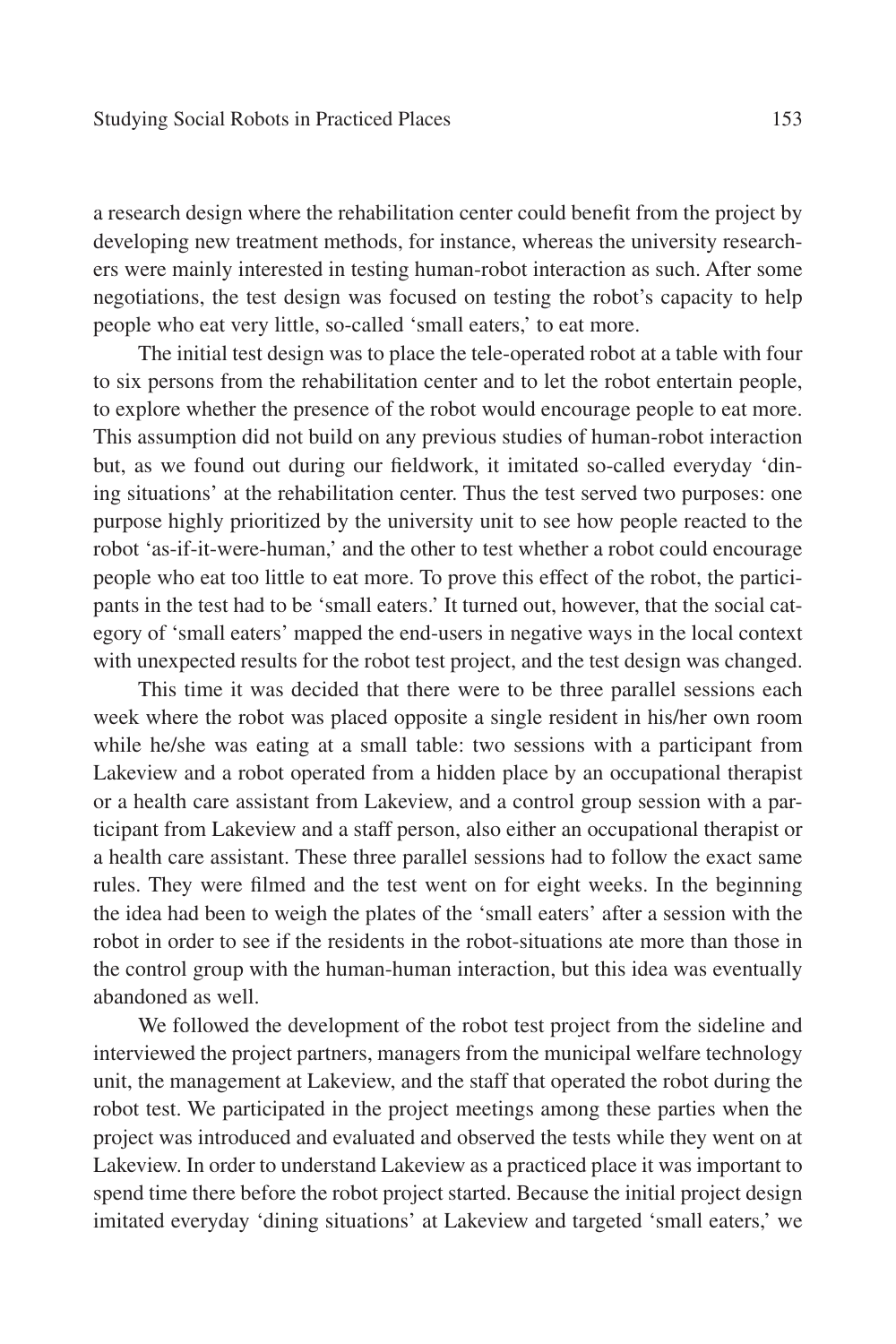a research design where the rehabilitation center could benefit from the project by developing new treatment methods, for instance, whereas the university researchers were mainly interested in testing human-robot interaction as such. After some negotiations, the test design was focused on testing the robot's capacity to help people who eat very little, so-called 'small eaters,' to eat more.

The initial test design was to place the tele-operated robot at a table with four to six persons from the rehabilitation center and to let the robot entertain people, to explore whether the presence of the robot would encourage people to eat more. This assumption did not build on any previous studies of human-robot interaction but, as we found out during our fieldwork, it imitated so-called everyday 'dining situations' at the rehabilitation center. Thus the test served two purposes: one purpose highly prioritized by the university unit to see how people reacted to the robot 'as-if-it-were-human,' and the other to test whether a robot could encourage people who eat too little to eat more. To prove this effect of the robot, the participants in the test had to be 'small eaters.' It turned out, however, that the social category of 'small eaters' mapped the end-users in negative ways in the local context with unexpected results for the robot test project, and the test design was changed.

This time it was decided that there were to be three parallel sessions each week where the robot was placed opposite a single resident in his/her own room while he/she was eating at a small table: two sessions with a participant from Lakeview and a robot operated from a hidden place by an occupational therapist or a health care assistant from Lakeview, and a control group session with a participant from Lakeview and a staff person, also either an occupational therapist or a health care assistant. These three parallel sessions had to follow the exact same rules. They were filmed and the test went on for eight weeks. In the beginning the idea had been to weigh the plates of the 'small eaters' after a session with the robot in order to see if the residents in the robot-situations ate more than those in the control group with the human-human interaction, but this idea was eventually abandoned as well.

We followed the development of the robot test project from the sideline and interviewed the project partners, managers from the municipal welfare technology unit, the management at Lakeview, and the staff that operated the robot during the robot test. We participated in the project meetings among these parties when the project was introduced and evaluated and observed the tests while they went on at Lakeview. In order to understand Lakeview as a practiced place it was important to spend time there before the robot project started. Because the initial project design imitated everyday 'dining situations' at Lakeview and targeted 'small eaters,' we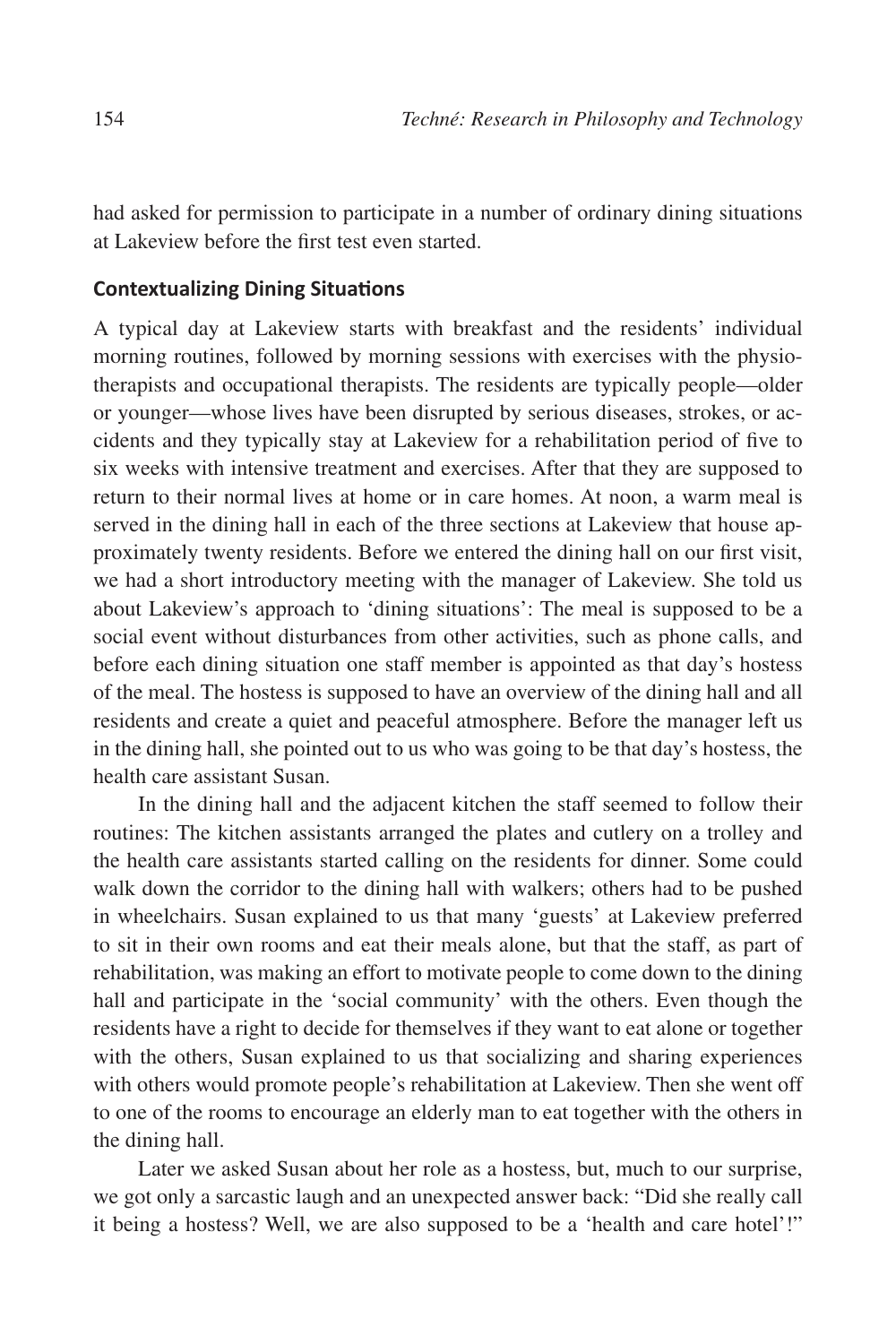had asked for permission to participate in a number of ordinary dining situations at Lakeview before the first test even started.

# **Contextualizing Dining Situations**

A typical day at Lakeview starts with breakfast and the residents' individual morning routines, followed by morning sessions with exercises with the physiotherapists and occupational therapists. The residents are typically people—older or younger—whose lives have been disrupted by serious diseases, strokes, or accidents and they typically stay at Lakeview for a rehabilitation period of five to six weeks with intensive treatment and exercises. After that they are supposed to return to their normal lives at home or in care homes. At noon, a warm meal is served in the dining hall in each of the three sections at Lakeview that house approximately twenty residents. Before we entered the dining hall on our first visit, we had a short introductory meeting with the manager of Lakeview. She told us about Lakeview's approach to 'dining situations': The meal is supposed to be a social event without disturbances from other activities, such as phone calls, and before each dining situation one staff member is appointed as that day's hostess of the meal. The hostess is supposed to have an overview of the dining hall and all residents and create a quiet and peaceful atmosphere. Before the manager left us in the dining hall, she pointed out to us who was going to be that day's hostess, the health care assistant Susan.

In the dining hall and the adjacent kitchen the staff seemed to follow their routines: The kitchen assistants arranged the plates and cutlery on a trolley and the health care assistants started calling on the residents for dinner. Some could walk down the corridor to the dining hall with walkers; others had to be pushed in wheelchairs. Susan explained to us that many 'guests' at Lakeview preferred to sit in their own rooms and eat their meals alone, but that the staff, as part of rehabilitation, was making an effort to motivate people to come down to the dining hall and participate in the 'social community' with the others. Even though the residents have a right to decide for themselves if they want to eat alone or together with the others, Susan explained to us that socializing and sharing experiences with others would promote people's rehabilitation at Lakeview. Then she went off to one of the rooms to encourage an elderly man to eat together with the others in the dining hall.

Later we asked Susan about her role as a hostess, but, much to our surprise, we got only a sarcastic laugh and an unexpected answer back: "Did she really call it being a hostess? Well, we are also supposed to be a 'health and care hotel'!"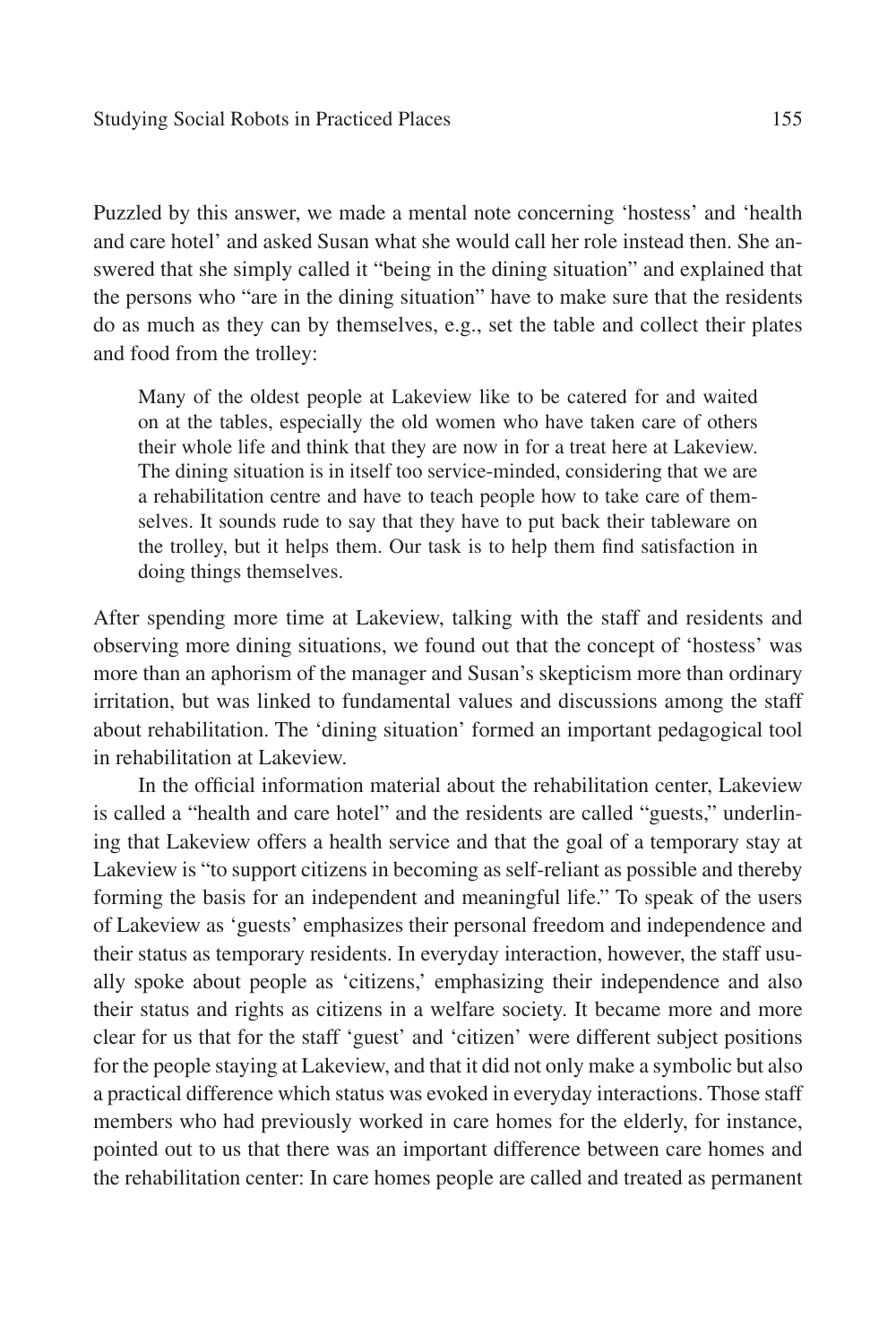Puzzled by this answer, we made a mental note concerning 'hostess' and 'health and care hotel' and asked Susan what she would call her role instead then. She answered that she simply called it "being in the dining situation" and explained that the persons who "are in the dining situation" have to make sure that the residents do as much as they can by themselves, e.g., set the table and collect their plates and food from the trolley:

Many of the oldest people at Lakeview like to be catered for and waited on at the tables, especially the old women who have taken care of others their whole life and think that they are now in for a treat here at Lakeview. The dining situation is in itself too service-minded, considering that we are a rehabilitation centre and have to teach people how to take care of themselves. It sounds rude to say that they have to put back their tableware on the trolley, but it helps them. Our task is to help them find satisfaction in doing things themselves.

After spending more time at Lakeview, talking with the staff and residents and observing more dining situations, we found out that the concept of 'hostess' was more than an aphorism of the manager and Susan's skepticism more than ordinary irritation, but was linked to fundamental values and discussions among the staff about rehabilitation. The 'dining situation' formed an important pedagogical tool in rehabilitation at Lakeview.

In the official information material about the rehabilitation center, Lakeview is called a "health and care hotel" and the residents are called "guests," underlining that Lakeview offers a health service and that the goal of a temporary stay at Lakeview is "to support citizens in becoming as self-reliant as possible and thereby forming the basis for an independent and meaningful life." To speak of the users of Lakeview as 'guests' emphasizes their personal freedom and independence and their status as temporary residents. In everyday interaction, however, the staff usually spoke about people as 'citizens,' emphasizing their independence and also their status and rights as citizens in a welfare society. It became more and more clear for us that for the staff 'guest' and 'citizen' were different subject positions for the people staying at Lakeview, and that it did not only make a symbolic but also a practical difference which status was evoked in everyday interactions. Those staff members who had previously worked in care homes for the elderly, for instance, pointed out to us that there was an important difference between care homes and the rehabilitation center: In care homes people are called and treated as permanent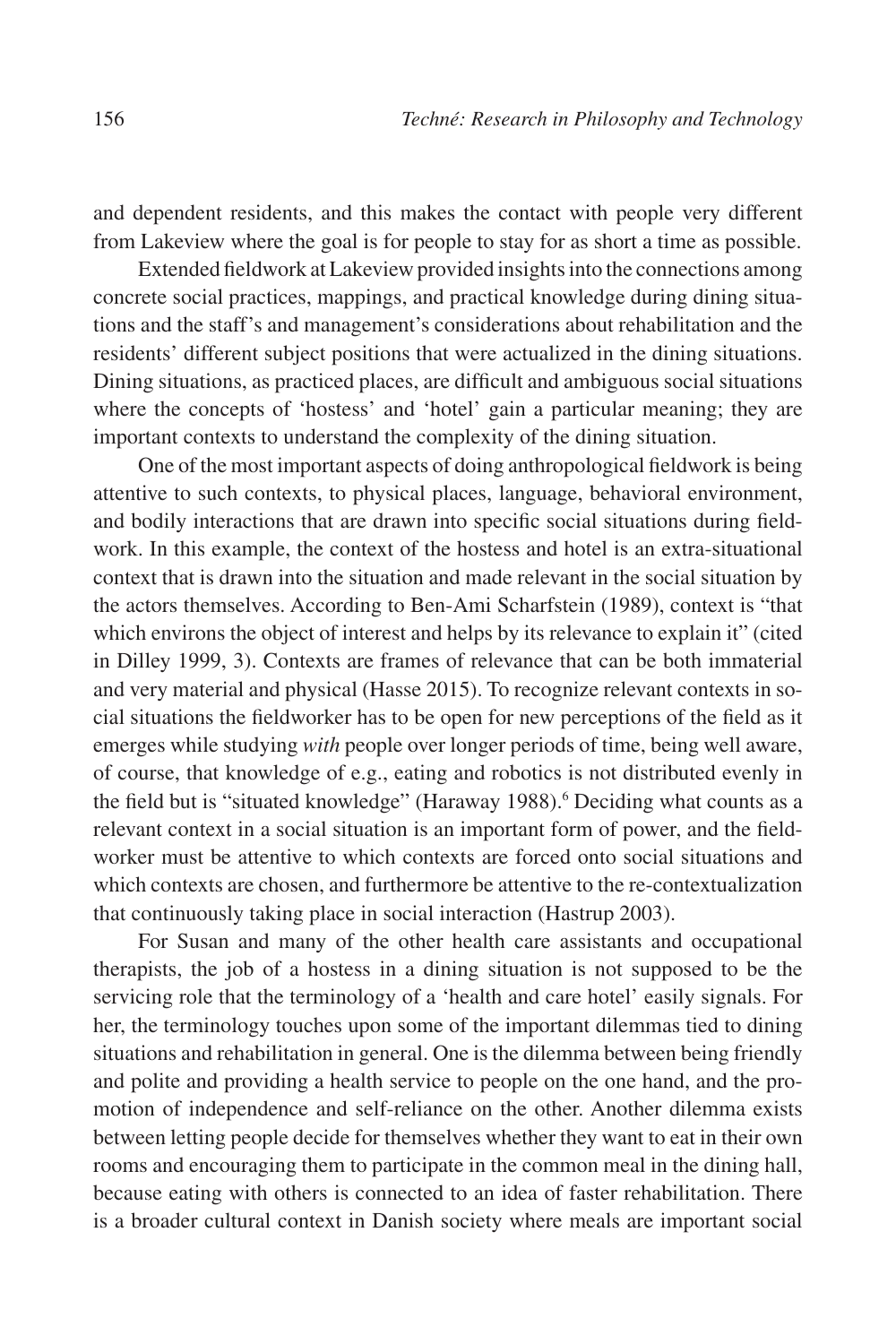and dependent residents, and this makes the contact with people very different from Lakeview where the goal is for people to stay for as short a time as possible.

Extended fieldwork at Lakeview provided insights into the connections among concrete social practices, mappings, and practical knowledge during dining situations and the staff's and management's considerations about rehabilitation and the residents' different subject positions that were actualized in the dining situations. Dining situations, as practiced places, are difficult and ambiguous social situations where the concepts of 'hostess' and 'hotel' gain a particular meaning; they are important contexts to understand the complexity of the dining situation.

One of the most important aspects of doing anthropological fieldwork is being attentive to such contexts, to physical places, language, behavioral environment, and bodily interactions that are drawn into specific social situations during fieldwork. In this example, the context of the hostess and hotel is an extra-situational context that is drawn into the situation and made relevant in the social situation by the actors themselves. According to Ben-Ami Scharfstein (1989), context is "that which environs the object of interest and helps by its relevance to explain it" (cited in Dilley 1999, 3). Contexts are frames of relevance that can be both immaterial and very material and physical (Hasse 2015). To recognize relevant contexts in social situations the fieldworker has to be open for new perceptions of the field as it emerges while studying *with* people over longer periods of time, being well aware, of course, that knowledge of e.g., eating and robotics is not distributed evenly in the field but is "situated knowledge" (Haraway 1988).<sup>6</sup> Deciding what counts as a relevant context in a social situation is an important form of power, and the fieldworker must be attentive to which contexts are forced onto social situations and which contexts are chosen, and furthermore be attentive to the re-contextualization that continuously taking place in social interaction (Hastrup 2003).

For Susan and many of the other health care assistants and occupational therapists, the job of a hostess in a dining situation is not supposed to be the servicing role that the terminology of a 'health and care hotel' easily signals. For her, the terminology touches upon some of the important dilemmas tied to dining situations and rehabilitation in general. One is the dilemma between being friendly and polite and providing a health service to people on the one hand, and the promotion of independence and self-reliance on the other. Another dilemma exists between letting people decide for themselves whether they want to eat in their own rooms and encouraging them to participate in the common meal in the dining hall, because eating with others is connected to an idea of faster rehabilitation. There is a broader cultural context in Danish society where meals are important social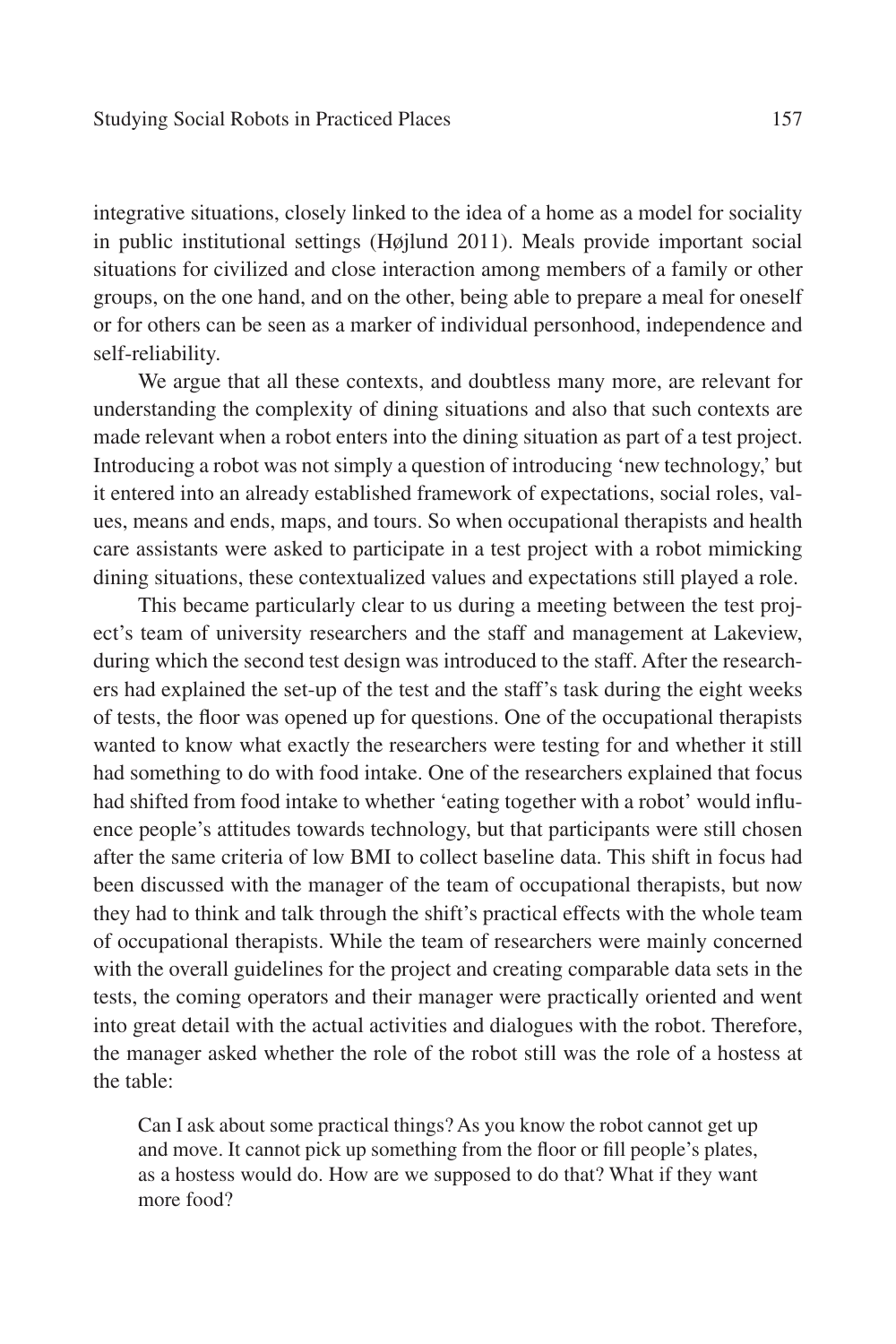integrative situations, closely linked to the idea of a home as a model for sociality in public institutional settings (Højlund 2011). Meals provide important social situations for civilized and close interaction among members of a family or other groups, on the one hand, and on the other, being able to prepare a meal for oneself or for others can be seen as a marker of individual personhood, independence and self-reliability.

We argue that all these contexts, and doubtless many more, are relevant for understanding the complexity of dining situations and also that such contexts are made relevant when a robot enters into the dining situation as part of a test project. Introducing a robot was not simply a question of introducing 'new technology,' but it entered into an already established framework of expectations, social roles, values, means and ends, maps, and tours. So when occupational therapists and health care assistants were asked to participate in a test project with a robot mimicking dining situations, these contextualized values and expectations still played a role.

This became particularly clear to us during a meeting between the test project's team of university researchers and the staff and management at Lakeview, during which the second test design was introduced to the staff. After the researchers had explained the set-up of the test and the staff's task during the eight weeks of tests, the floor was opened up for questions. One of the occupational therapists wanted to know what exactly the researchers were testing for and whether it still had something to do with food intake. One of the researchers explained that focus had shifted from food intake to whether 'eating together with a robot' would influence people's attitudes towards technology, but that participants were still chosen after the same criteria of low BMI to collect baseline data. This shift in focus had been discussed with the manager of the team of occupational therapists, but now they had to think and talk through the shift's practical effects with the whole team of occupational therapists. While the team of researchers were mainly concerned with the overall guidelines for the project and creating comparable data sets in the tests, the coming operators and their manager were practically oriented and went into great detail with the actual activities and dialogues with the robot. Therefore, the manager asked whether the role of the robot still was the role of a hostess at the table:

Can I ask about some practical things? As you know the robot cannot get up and move. It cannot pick up something from the floor or fill people's plates, as a hostess would do. How are we supposed to do that? What if they want more food?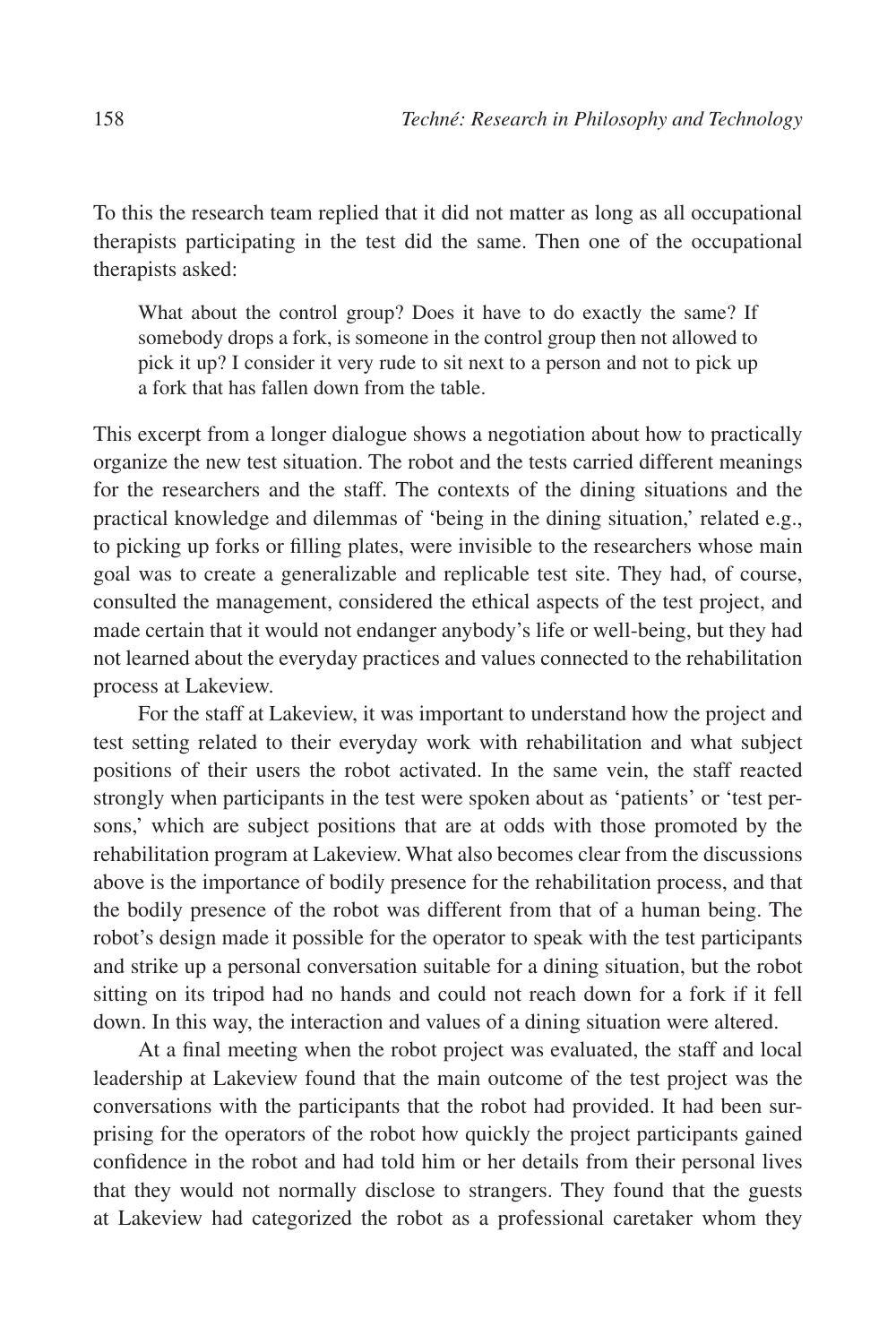To this the research team replied that it did not matter as long as all occupational therapists participating in the test did the same. Then one of the occupational therapists asked:

What about the control group? Does it have to do exactly the same? If somebody drops a fork, is someone in the control group then not allowed to pick it up? I consider it very rude to sit next to a person and not to pick up a fork that has fallen down from the table.

This excerpt from a longer dialogue shows a negotiation about how to practically organize the new test situation. The robot and the tests carried different meanings for the researchers and the staff. The contexts of the dining situations and the practical knowledge and dilemmas of 'being in the dining situation,' related e.g., to picking up forks or filling plates, were invisible to the researchers whose main goal was to create a generalizable and replicable test site. They had, of course, consulted the management, considered the ethical aspects of the test project, and made certain that it would not endanger anybody's life or well-being, but they had not learned about the everyday practices and values connected to the rehabilitation process at Lakeview.

For the staff at Lakeview, it was important to understand how the project and test setting related to their everyday work with rehabilitation and what subject positions of their users the robot activated. In the same vein, the staff reacted strongly when participants in the test were spoken about as 'patients' or 'test persons,' which are subject positions that are at odds with those promoted by the rehabilitation program at Lakeview. What also becomes clear from the discussions above is the importance of bodily presence for the rehabilitation process, and that the bodily presence of the robot was different from that of a human being. The robot's design made it possible for the operator to speak with the test participants and strike up a personal conversation suitable for a dining situation, but the robot sitting on its tripod had no hands and could not reach down for a fork if it fell down. In this way, the interaction and values of a dining situation were altered.

At a final meeting when the robot project was evaluated, the staff and local leadership at Lakeview found that the main outcome of the test project was the conversations with the participants that the robot had provided. It had been surprising for the operators of the robot how quickly the project participants gained confidence in the robot and had told him or her details from their personal lives that they would not normally disclose to strangers. They found that the guests at Lakeview had categorized the robot as a professional caretaker whom they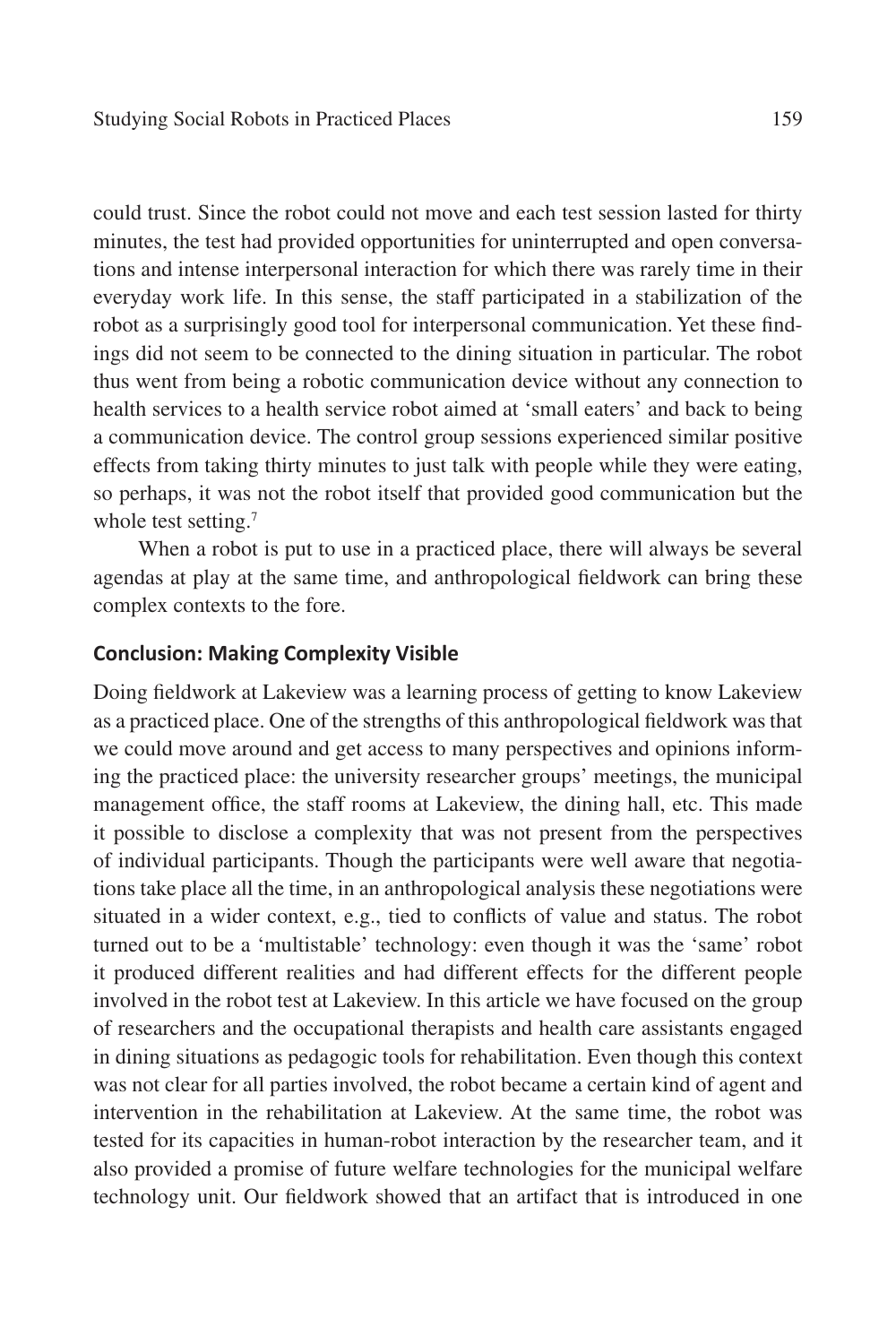could trust. Since the robot could not move and each test session lasted for thirty minutes, the test had provided opportunities for uninterrupted and open conversations and intense interpersonal interaction for which there was rarely time in their everyday work life. In this sense, the staff participated in a stabilization of the robot as a surprisingly good tool for interpersonal communication. Yet these findings did not seem to be connected to the dining situation in particular. The robot thus went from being a robotic communication device without any connection to health services to a health service robot aimed at 'small eaters' and back to being a communication device. The control group sessions experienced similar positive effects from taking thirty minutes to just talk with people while they were eating, so perhaps, it was not the robot itself that provided good communication but the whole test setting.<sup>7</sup>

When a robot is put to use in a practiced place, there will always be several agendas at play at the same time, and anthropological fieldwork can bring these complex contexts to the fore.

## **Conclusion: Making Complexity Visible**

Doing fieldwork at Lakeview was a learning process of getting to know Lakeview as a practiced place. One of the strengths of this anthropological fieldwork was that we could move around and get access to many perspectives and opinions informing the practiced place: the university researcher groups' meetings, the municipal management office, the staff rooms at Lakeview, the dining hall, etc. This made it possible to disclose a complexity that was not present from the perspectives of individual participants. Though the participants were well aware that negotiations take place all the time, in an anthropological analysis these negotiations were situated in a wider context, e.g., tied to conflicts of value and status. The robot turned out to be a 'multistable' technology: even though it was the 'same' robot it produced different realities and had different effects for the different people involved in the robot test at Lakeview. In this article we have focused on the group of researchers and the occupational therapists and health care assistants engaged in dining situations as pedagogic tools for rehabilitation. Even though this context was not clear for all parties involved, the robot became a certain kind of agent and intervention in the rehabilitation at Lakeview. At the same time, the robot was tested for its capacities in human-robot interaction by the researcher team, and it also provided a promise of future welfare technologies for the municipal welfare technology unit. Our fieldwork showed that an artifact that is introduced in one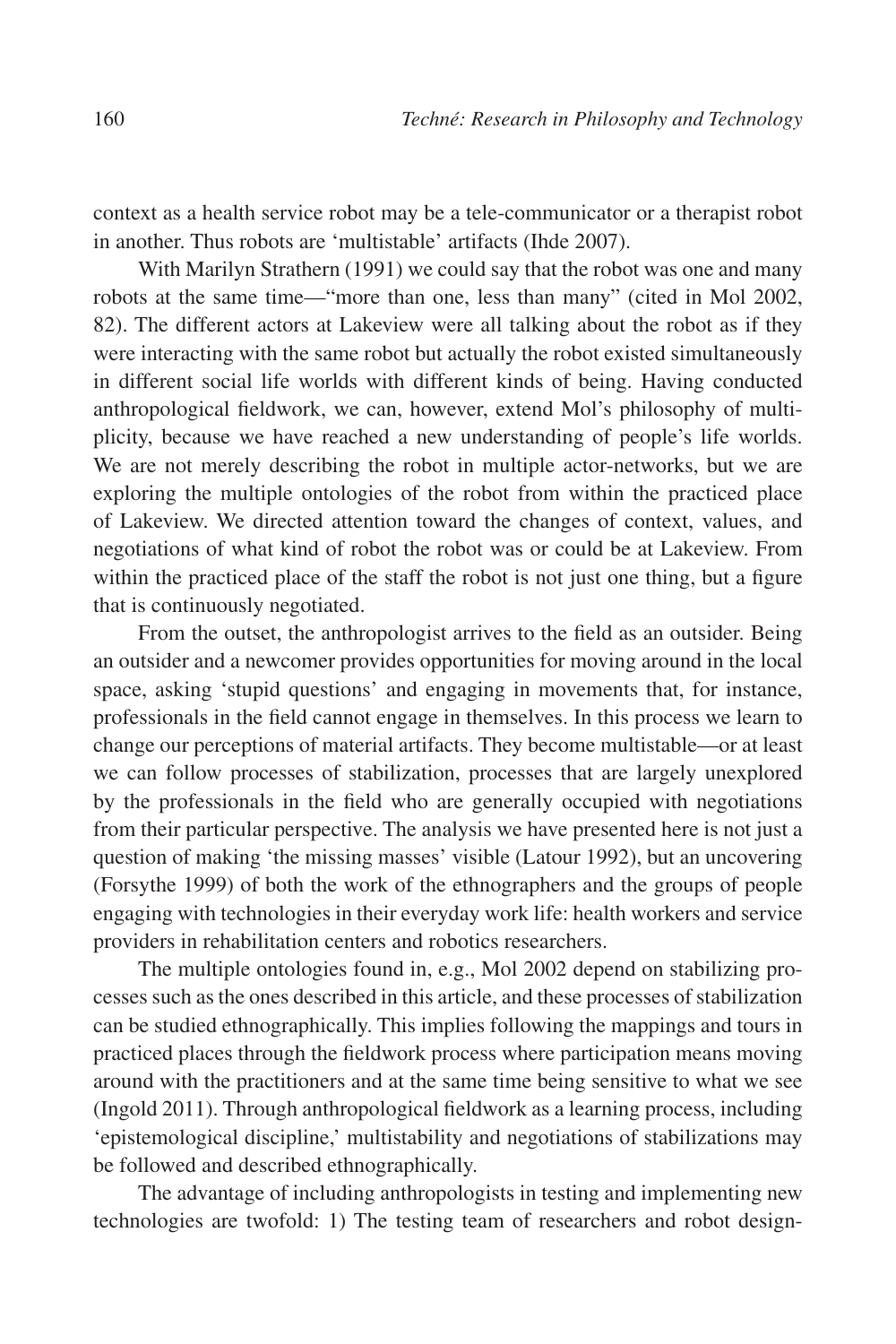context as a health service robot may be a tele-communicator or a therapist robot in another. Thus robots are 'multistable' artifacts (Ihde 2007).

With Marilyn Strathern (1991) we could say that the robot was one and many robots at the same time—"more than one, less than many" (cited in Mol 2002, 82). The different actors at Lakeview were all talking about the robot as if they were interacting with the same robot but actually the robot existed simultaneously in different social life worlds with different kinds of being. Having conducted anthropological fieldwork, we can, however, extend Mol's philosophy of multiplicity, because we have reached a new understanding of people's life worlds. We are not merely describing the robot in multiple actor-networks, but we are exploring the multiple ontologies of the robot from within the practiced place of Lakeview. We directed attention toward the changes of context, values, and negotiations of what kind of robot the robot was or could be at Lakeview. From within the practiced place of the staff the robot is not just one thing, but a figure that is continuously negotiated.

From the outset, the anthropologist arrives to the field as an outsider. Being an outsider and a newcomer provides opportunities for moving around in the local space, asking 'stupid questions' and engaging in movements that, for instance, professionals in the field cannot engage in themselves. In this process we learn to change our perceptions of material artifacts. They become multistable—or at least we can follow processes of stabilization, processes that are largely unexplored by the professionals in the field who are generally occupied with negotiations from their particular perspective. The analysis we have presented here is not just a question of making 'the missing masses' visible (Latour 1992), but an uncovering (Forsythe 1999) of both the work of the ethnographers and the groups of people engaging with technologies in their everyday work life: health workers and service providers in rehabilitation centers and robotics researchers.

The multiple ontologies found in, e.g., Mol 2002 depend on stabilizing processes such as the ones described in this article, and these processes of stabilization can be studied ethnographically. This implies following the mappings and tours in practiced places through the fieldwork process where participation means moving around with the practitioners and at the same time being sensitive to what we see (Ingold 2011). Through anthropological fieldwork as a learning process, including 'epistemological discipline,' multistability and negotiations of stabilizations may be followed and described ethnographically.

The advantage of including anthropologists in testing and implementing new technologies are twofold: 1) The testing team of researchers and robot design-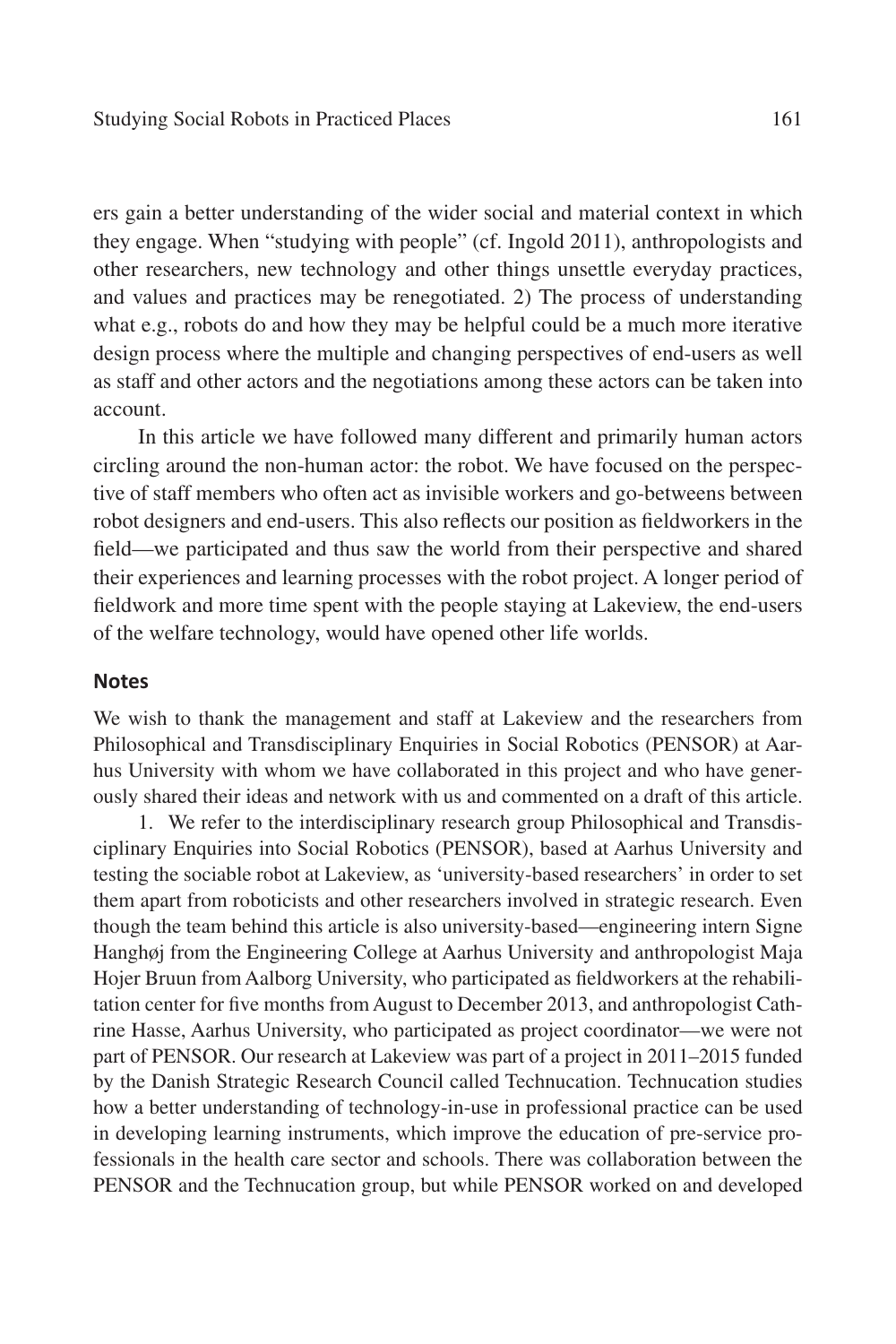ers gain a better understanding of the wider social and material context in which they engage. When "studying with people" (cf. Ingold 2011), anthropologists and other researchers, new technology and other things unsettle everyday practices, and values and practices may be renegotiated. 2) The process of understanding what e.g., robots do and how they may be helpful could be a much more iterative design process where the multiple and changing perspectives of end-users as well as staff and other actors and the negotiations among these actors can be taken into account.

In this article we have followed many different and primarily human actors circling around the non-human actor: the robot. We have focused on the perspective of staff members who often act as invisible workers and go-betweens between robot designers and end-users. This also reflects our position as fieldworkers in the field—we participated and thus saw the world from their perspective and shared their experiences and learning processes with the robot project. A longer period of fieldwork and more time spent with the people staying at Lakeview, the end-users of the welfare technology, would have opened other life worlds.

## **Notes**

We wish to thank the management and staff at Lakeview and the researchers from Philosophical and Transdisciplinary Enquiries in Social Robotics (PENSOR) at Aarhus University with whom we have collaborated in this project and who have generously shared their ideas and network with us and commented on a draft of this article.

1. We refer to the interdisciplinary research group Philosophical and Transdisciplinary Enquiries into Social Robotics (PENSOR), based at Aarhus University and testing the sociable robot at Lakeview, as 'university-based researchers' in order to set them apart from roboticists and other researchers involved in strategic research. Even though the team behind this article is also university-based—engineering intern Signe Hanghøj from the Engineering College at Aarhus University and anthropologist Maja Hojer Bruun from Aalborg University, who participated as fieldworkers at the rehabilitation center for five months from August to December 2013, and anthropologist Cathrine Hasse, Aarhus University, who participated as project coordinator—we were not part of PENSOR. Our research at Lakeview was part of a project in 2011–2015 funded by the Danish Strategic Research Council called Technucation. Technucation studies how a better understanding of technology-in-use in professional practice can be used in developing learning instruments, which improve the education of pre-service professionals in the health care sector and schools. There was collaboration between the PENSOR and the Technucation group, but while PENSOR worked on and developed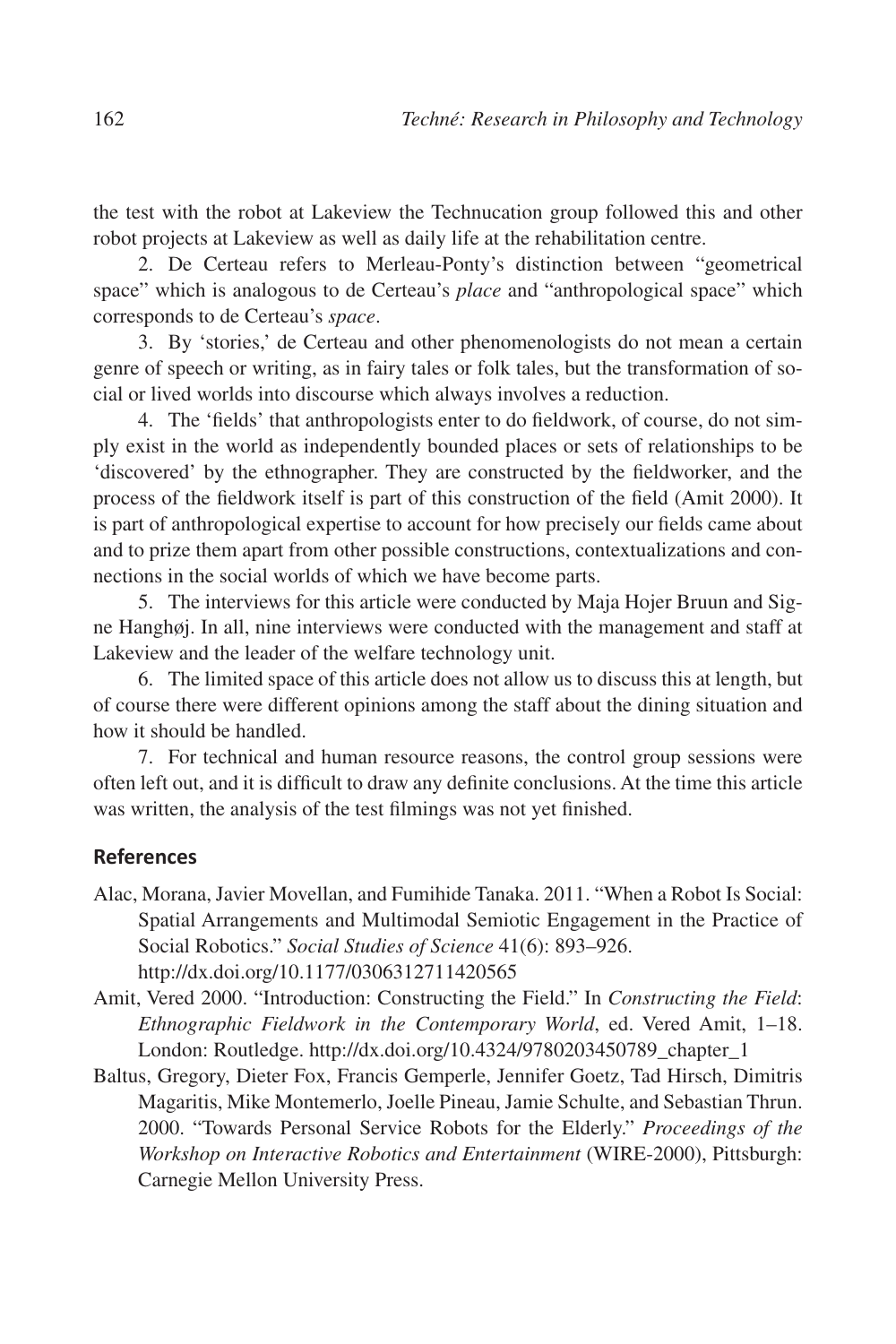the test with the robot at Lakeview the Technucation group followed this and other robot projects at Lakeview as well as daily life at the rehabilitation centre.

2. De Certeau refers to Merleau-Ponty's distinction between "geometrical space" which is analogous to de Certeau's *place* and "anthropological space" which corresponds to de Certeau's *space*.

3. By 'stories,' de Certeau and other phenomenologists do not mean a certain genre of speech or writing, as in fairy tales or folk tales, but the transformation of social or lived worlds into discourse which always involves a reduction.

4. The 'fields' that anthropologists enter to do fieldwork, of course, do not simply exist in the world as independently bounded places or sets of relationships to be 'discovered' by the ethnographer. They are constructed by the fieldworker, and the process of the fieldwork itself is part of this construction of the field (Amit 2000). It is part of anthropological expertise to account for how precisely our fields came about and to prize them apart from other possible constructions, contextualizations and connections in the social worlds of which we have become parts.

5. The interviews for this article were conducted by Maja Hojer Bruun and Signe Hanghøj. In all, nine interviews were conducted with the management and staff at Lakeview and the leader of the welfare technology unit.

6. The limited space of this article does not allow us to discuss this at length, but of course there were different opinions among the staff about the dining situation and how it should be handled.

7. For technical and human resource reasons, the control group sessions were often left out, and it is difficult to draw any definite conclusions. At the time this article was written, the analysis of the test filmings was not yet finished.

## **References**

- Alac, Morana, Javier Movellan, and Fumihide Tanaka. 2011. "When a Robot Is Social: Spatial Arrangements and Multimodal Semiotic Engagement in the Practice of Social Robotics." *Social Studies of Science* 41(6): 893–926. http://dx.doi.org/10.1177/0306312711420565
- Amit, Vered 2000. "Introduction: Constructing the Field." In *Constructing the Field*: *Ethnographic Fieldwork in the Contemporary World*, ed. Vered Amit, 1–18. London: Routledge. http://dx.doi.org/10.4324/9780203450789\_chapter\_1
- Baltus, Gregory, Dieter Fox, Francis Gemperle, Jennifer Goetz, Tad Hirsch, Dimitris Magaritis, Mike Montemerlo, Joelle Pineau, Jamie Schulte, and Sebastian Thrun. 2000. "Towards Personal Service Robots for the Elderly." *Proceedings of the Workshop on Interactive Robotics and Entertainment* (WIRE-2000), Pittsburgh: Carnegie Mellon University Press.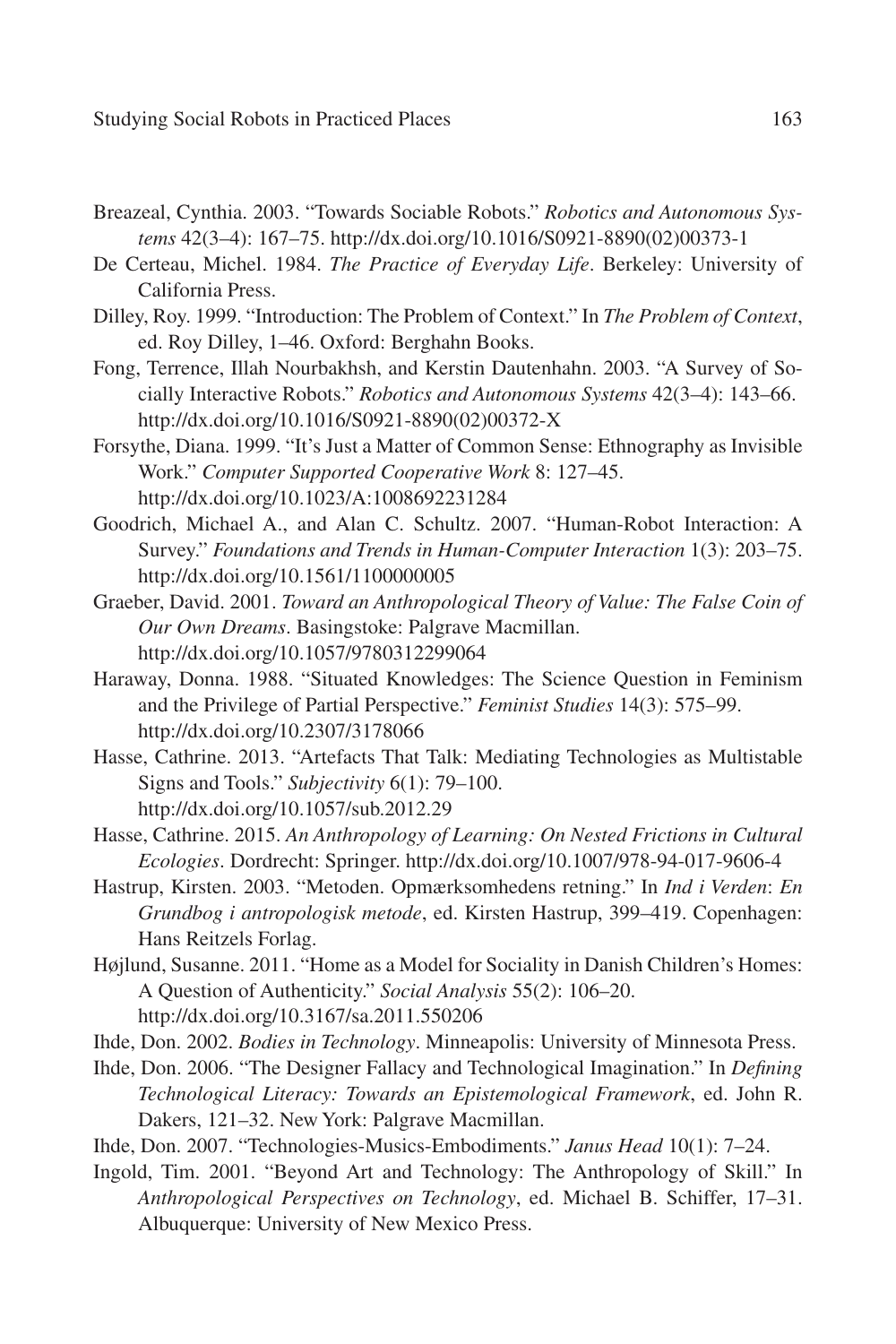- Breazeal, Cynthia. 2003. "Towards Sociable Robots." *Robotics and Autonomous Systems* 42(3–4): 167–75. http://dx.doi.org/10.1016/S0921-8890(02)00373-1
- De Certeau, Michel. 1984. *The Practice of Everyday Life*. Berkeley: University of California Press.
- Dilley, Roy. 1999. "Introduction: The Problem of Context." In *The Problem of Context*, ed. Roy Dilley, 1–46. Oxford: Berghahn Books.
- Fong, Terrence, Illah Nourbakhsh, and Kerstin Dautenhahn. 2003. "A Survey of Socially Interactive Robots." *Robotics and Autonomous Systems* 42(3–4): 143–66. http://dx.doi.org/10.1016/S0921-8890(02)00372-X
- Forsythe, Diana. 1999. "It's Just a Matter of Common Sense: Ethnography as Invisible Work." *Computer Supported Cooperative Work* 8: 127–45. http://dx.doi.org/10.1023/A:1008692231284
- Goodrich, Michael A., and Alan C. Schultz. 2007. "Human-Robot Interaction: A Survey." *Foundations and Trends in Human-Computer Interaction* 1(3): 203–75. http://dx.doi.org/10.1561/1100000005
- Graeber, David. 2001. *Toward an Anthropological Theory of Value: The False Coin of Our Own Dreams*. Basingstoke: Palgrave Macmillan. http://dx.doi.org/10.1057/9780312299064
- Haraway, Donna. 1988. "Situated Knowledges: The Science Question in Feminism and the Privilege of Partial Perspective." *Feminist Studies* 14(3): 575–99. http://dx.doi.org/10.2307/3178066
- Hasse, Cathrine. 2013. "Artefacts That Talk: Mediating Technologies as Multistable Signs and Tools." *Subjectivity* 6(1): 79–100. http://dx.doi.org/10.1057/sub.2012.29
- Hasse, Cathrine. 2015. *An Anthropology of Learning: On Nested Frictions in Cultural Ecologies*. Dordrecht: Springer. http://dx.doi.org/10.1007/978-94-017-9606-4
- Hastrup, Kirsten. 2003. "Metoden. Opmærksomhedens retning." In *Ind i Verden*: *En Grundbog i antropologisk metode*, ed. Kirsten Hastrup, 399–419. Copenhagen: Hans Reitzels Forlag.
- Højlund, Susanne. 2011. "Home as a Model for Sociality in Danish Children's Homes: A Question of Authenticity." *Social Analysis* 55(2): 106–20. http://dx.doi.org/10.3167/sa.2011.550206
- Ihde, Don. 2002. *Bodies in Technology*. Minneapolis: University of Minnesota Press.
- Ihde, Don. 2006. "The Designer Fallacy and Technological Imagination." In *Defining Technological Literacy: Towards an Epistemological Framework*, ed. John R. Dakers, 121–32. New York: Palgrave Macmillan.
- Ihde, Don. 2007. "Technologies-Musics-Embodiments." *Janus Head* 10(1): 7–24.
- Ingold, Tim. 2001. "Beyond Art and Technology: The Anthropology of Skill." In *Anthropological Perspectives on Technology*, ed. Michael B. Schiffer, 17–31. Albuquerque: University of New Mexico Press.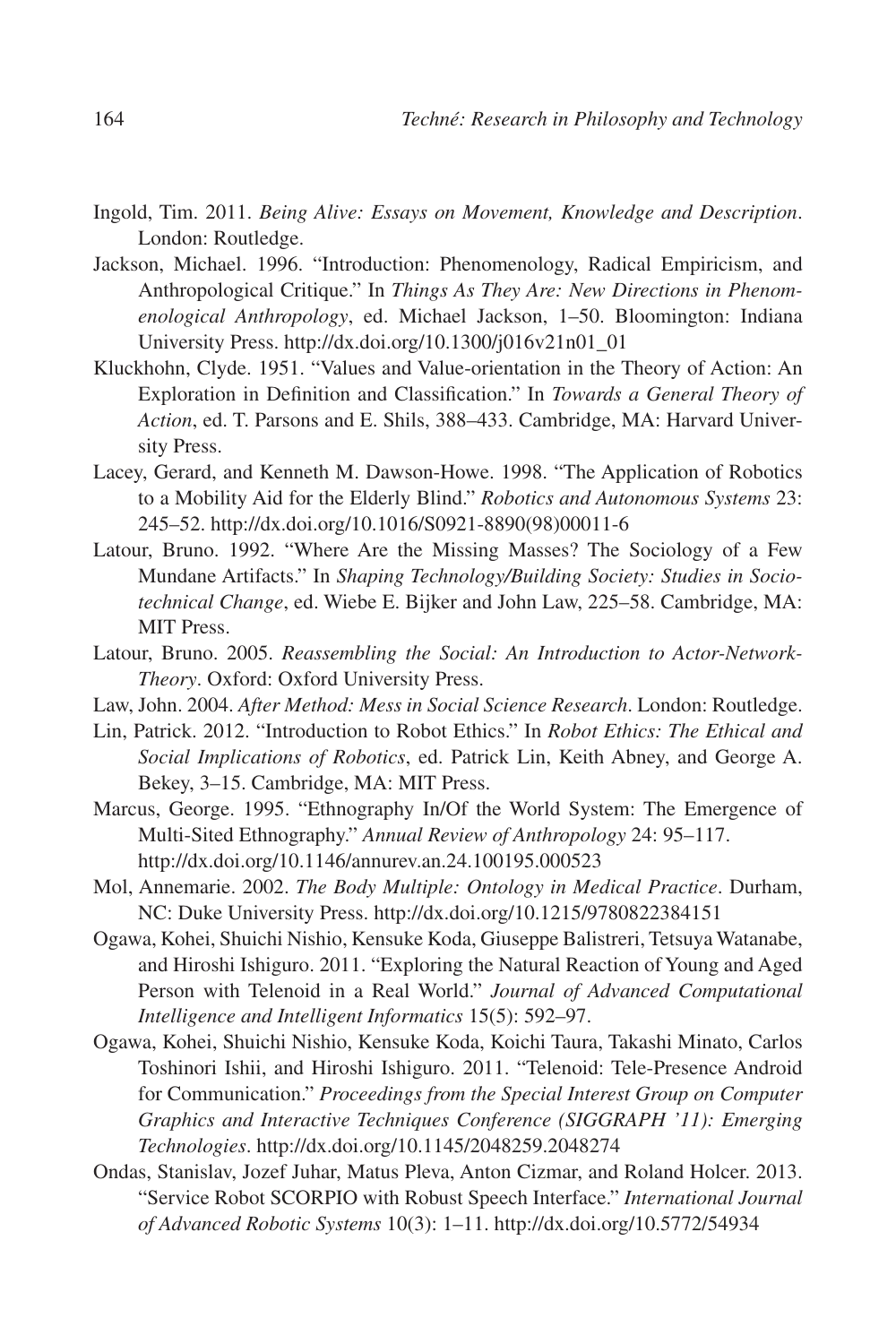- Ingold, Tim. 2011. *Being Alive: Essays on Movement, Knowledge and Description*. London: Routledge.
- Jackson, Michael. 1996. "Introduction: Phenomenology, Radical Empiricism, and Anthropological Critique." In *Things As They Are: New Directions in Phenomenological Anthropology*, ed. Michael Jackson, 1–50. Bloomington: Indiana University Press. http://dx.doi.org/10.1300/j016v21n01\_01
- Kluckhohn, Clyde. 1951. "Values and Value-orientation in the Theory of Action: An Exploration in Definition and Classification." In *Towards a General Theory of Action*, ed. T. Parsons and E. Shils, 388–433. Cambridge, MA: Harvard University Press.
- Lacey, Gerard, and Kenneth M. Dawson-Howe. 1998. "The Application of Robotics to a Mobility Aid for the Elderly Blind." *Robotics and Autonomous Systems* 23: 245–52. http://dx.doi.org/10.1016/S0921-8890(98)00011-6
- Latour, Bruno. 1992. "Where Are the Missing Masses? The Sociology of a Few Mundane Artifacts." In *Shaping Technology/Building Society: Studies in Sociotechnical Change*, ed. Wiebe E. Bijker and John Law, 225–58. Cambridge, MA: MIT Press.
- Latour, Bruno. 2005. *Reassembling the Social: An Introduction to Actor-Network-Theory*. Oxford: Oxford University Press.
- Law, John. 2004. *After Method: Mess in Social Science Research*. London: Routledge.
- Lin, Patrick. 2012. "Introduction to Robot Ethics." In *Robot Ethics: The Ethical and Social Implications of Robotics*, ed. Patrick Lin, Keith Abney, and George A. Bekey, 3–15. Cambridge, MA: MIT Press.
- Marcus, George. 1995. "Ethnography In/Of the World System: The Emergence of Multi-Sited Ethnography." *Annual Review of Anthropology* 24: 95–117. http://dx.doi.org/10.1146/annurev.an.24.100195.000523
- Mol, Annemarie. 2002. *The Body Multiple: Ontology in Medical Practice*. Durham, NC: Duke University Press. http://dx.doi.org/10.1215/9780822384151
- Ogawa, Kohei, Shuichi Nishio, Kensuke Koda, Giuseppe Balistreri, Tetsuya Watanabe, and Hiroshi Ishiguro. 2011. "Exploring the Natural Reaction of Young and Aged Person with Telenoid in a Real World." *Journal of Advanced Computational Intelligence and Intelligent Informatics* 15(5): 592–97.
- Ogawa, Kohei, Shuichi Nishio, Kensuke Koda, Koichi Taura, Takashi Minato, Carlos Toshinori Ishii, and Hiroshi Ishiguro. 2011. "Telenoid: Tele-Presence Android for Communication." *Proceedings from the Special Interest Group on Computer Graphics and Interactive Techniques Conference (SIGGRAPH '11): Emerging Technologies*. http://dx.doi.org/10.1145/2048259.2048274
- Ondas, Stanislav, Jozef Juhar, Matus Pleva, Anton Cizmar, and Roland Holcer. 2013. "Service Robot SCORPIO with Robust Speech Interface." *International Journal of Advanced Robotic Systems* 10(3): 1–11. http://dx.doi.org/10.5772/54934